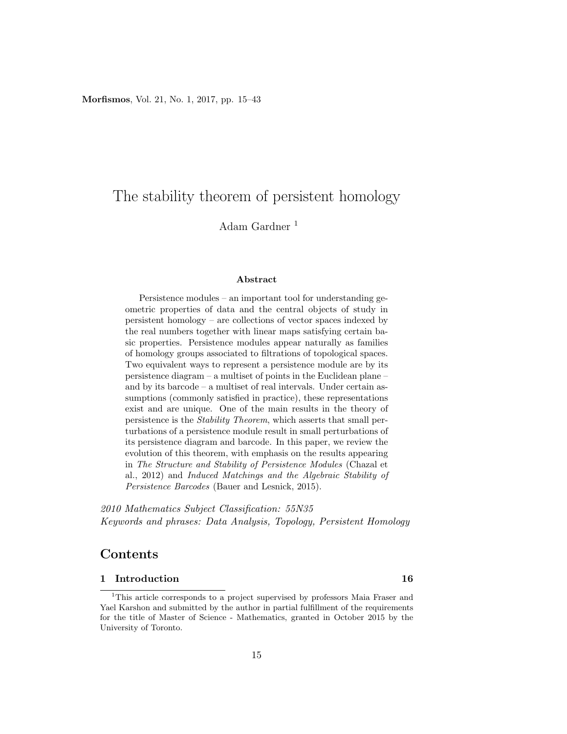# The stability theorem of persistent homology

Adam Gardner <sup>1</sup>

#### Abstract

Persistence modules – an important tool for understanding geometric properties of data and the central objects of study in persistent homology – are collections of vector spaces indexed by the real numbers together with linear maps satisfying certain basic properties. Persistence modules appear naturally as families of homology groups associated to filtrations of topological spaces. Two equivalent ways to represent a persistence module are by its persistence diagram – a multiset of points in the Euclidean plane – and by its barcode – a multiset of real intervals. Under certain assumptions (commonly satisfied in practice), these representations exist and are unique. One of the main results in the theory of persistence is the Stability Theorem, which asserts that small perturbations of a persistence module result in small perturbations of its persistence diagram and barcode. In this paper, we review the evolution of this theorem, with emphasis on the results appearing in The Structure and Stability of Persistence Modules (Chazal et al., 2012) and Induced Matchings and the Algebraic Stability of Persistence Barcodes (Bauer and Lesnick, 2015).

2010 Mathematics Subject Classification: 55N35 Keywords and phrases: Data Analysis, Topology, Persistent Homology

## Contents

#### 1 Introduction 16

<sup>&</sup>lt;sup>1</sup>This article corresponds to a project supervised by professors Maia Fraser and Yael Karshon and submitted by the author in partial fulfillment of the requirements for the title of Master of Science - Mathematics, granted in October 2015 by the University of Toronto.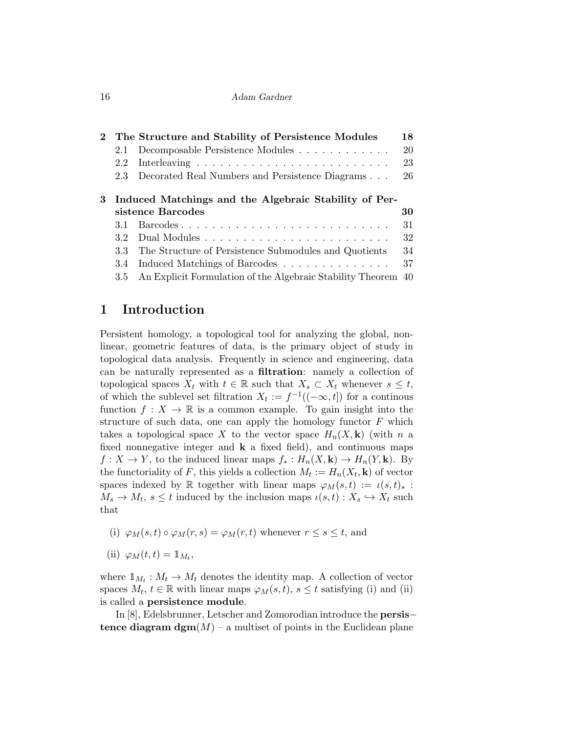| 2 The Structure and Stability of Persistence Modules    |                                                                               |    |  |  |
|---------------------------------------------------------|-------------------------------------------------------------------------------|----|--|--|
| 2.1                                                     | Decomposable Persistence Modules                                              | 20 |  |  |
| 2.2                                                     | Interleaving $\ldots \ldots \ldots \ldots \ldots \ldots \ldots \ldots \ldots$ | 23 |  |  |
| 2.3                                                     | Decorated Real Numbers and Persistence Diagrams                               | 26 |  |  |
| 3 Induced Matchings and the Algebraic Stability of Per- |                                                                               |    |  |  |
|                                                         | sistence Barcodes                                                             | 30 |  |  |
| 3.1                                                     |                                                                               | 31 |  |  |
| 3.2                                                     |                                                                               | 32 |  |  |
| 3.3                                                     | The Structure of Persistence Submodules and Quotients                         | 34 |  |  |
| 3.4                                                     | Induced Matchings of Barcodes                                                 | 37 |  |  |
| 3.5                                                     | An Explicit Formulation of the Algebraic Stability Theorem 40                 |    |  |  |
|                                                         |                                                                               |    |  |  |

## 1 Introduction

Persistent homology, a topological tool for analyzing the global, nonlinear, geometric features of data, is the primary object of study in topological data analysis. Frequently in science and engineering, data can be naturally represented as a filtration: namely a collection of topological spaces  $X_t$  with  $t \in \mathbb{R}$  such that  $X_s \subset X_t$  whenever  $s \leq t$ , of which the sublevel set filtration  $X_t := f^{-1}((-\infty, t])$  for a continuous function  $f: X \to \mathbb{R}$  is a common example. To gain insight into the structure of such data, one can apply the homology functor  $F$  which takes a topological space X to the vector space  $H_n(X, \mathbf{k})$  (with n a fixed nonnegative integer and  $k$  a fixed field), and continuous maps  $f: X \to Y$ , to the induced linear maps  $f_*: H_n(X, \mathbf{k}) \to H_n(Y, \mathbf{k})$ . By the functoriality of F, this yields a collection  $M_t := H_n(X_t, \mathbf{k})$  of vector spaces indexed by R together with linear maps  $\varphi_M(s,t) := \iota(s,t)_*$ :  $M_s \to M_t$ ,  $s \leq t$  induced by the inclusion maps  $\iota(s, t) : X_s \hookrightarrow X_t$  such that

(i) 
$$
\varphi_M(s,t) \circ \varphi_M(r,s) = \varphi_M(r,t)
$$
 whenever  $r \leq s \leq t$ , and

(ii) 
$$
\varphi_M(t,t) = \mathbb{1}_{M_t},
$$

where  $\mathbb{1}_{M_t}: M_t \to M_t$  denotes the identity map. A collection of vector spaces  $M_t$ ,  $t \in \mathbb{R}$  with linear maps  $\varphi_M(s,t)$ ,  $s \leq t$  satisfying (i) and (ii) is called a persistence module.

In [8], Edelsbrunner, Letscher and Zomorodian introduce the persis− tence diagram  $\operatorname{dgm}(M)$  – a multiset of points in the Euclidean plane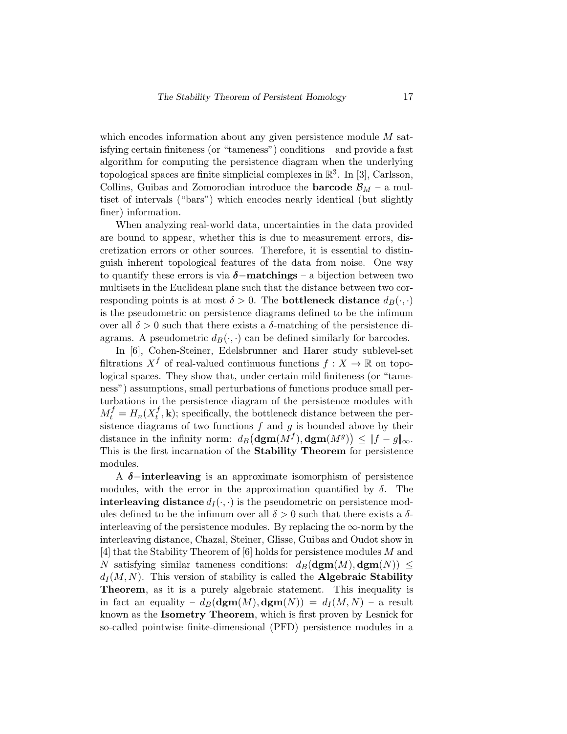which encodes information about any given persistence module  $M$  satisfying certain finiteness (or "tameness") conditions – and provide a fast algorithm for computing the persistence diagram when the underlying topological spaces are finite simplicial complexes in  $\mathbb{R}^3$ . In [3], Carlsson, Collins, Guibas and Zomorodian introduce the **barcode**  $\mathcal{B}_M$  – a multiset of intervals ("bars") which encodes nearly identical (but slightly finer) information.

When analyzing real-world data, uncertainties in the data provided are bound to appear, whether this is due to measurement errors, discretization errors or other sources. Therefore, it is essential to distinguish inherent topological features of the data from noise. One way to quantify these errors is via  $\delta$ -matchings – a bijection between two multisets in the Euclidean plane such that the distance between two corresponding points is at most  $\delta > 0$ . The **bottleneck distance**  $d_B(\cdot, \cdot)$ is the pseudometric on persistence diagrams defined to be the infimum over all  $\delta > 0$  such that there exists a  $\delta$ -matching of the persistence diagrams. A pseudometric  $d_B(\cdot, \cdot)$  can be defined similarly for barcodes.

In [6], Cohen-Steiner, Edelsbrunner and Harer study sublevel-set filtrations  $X^f$  of real-valued continuous functions  $f: X \to \mathbb{R}$  on topological spaces. They show that, under certain mild finiteness (or "tameness") assumptions, small perturbations of functions produce small perturbations in the persistence diagram of the persistence modules with  $M_t^f = H_n(X_t^f)$  $_{t}^{J}, \mathbf{k}$ ; specifically, the bottleneck distance between the persistence diagrams of two functions  $f$  and  $g$  is bounded above by their distance in the infinity norm:  $d_B(\mathrm{dgm}(M^f), \mathrm{dgm}(M^g)) \leq ||f - g||_{\infty}$ . This is the first incarnation of the **Stability Theorem** for persistence modules.

A  $\delta$ -interleaving is an approximate isomorphism of persistence modules, with the error in the approximation quantified by  $\delta$ . The **interleaving distance**  $d_I(\cdot, \cdot)$  is the pseudometric on persistence modules defined to be the infimum over all  $\delta > 0$  such that there exists a  $\delta$ interleaving of the persistence modules. By replacing the  $\infty$ -norm by the interleaving distance, Chazal, Steiner, Glisse, Guibas and Oudot show in [4] that the Stability Theorem of [6] holds for persistence modules M and N satisfying similar tameness conditions:  $d_B(\mathbf{dgm}(M), \mathbf{dgm}(N)) \leq$  $d_I(M, N)$ . This version of stability is called the **Algebraic Stability** Theorem, as it is a purely algebraic statement. This inequality is in fact an equality –  $d_B(\text{dgm}(M), \text{dgm}(N)) = d_I(M, N)$  – a result known as the Isometry Theorem, which is first proven by Lesnick for so-called pointwise finite-dimensional (PFD) persistence modules in a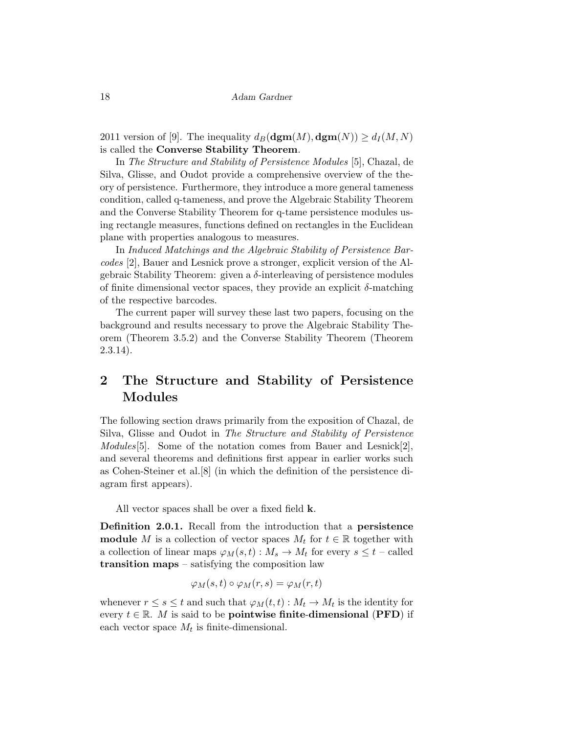2011 version of [9]. The inequality  $d_B(\mathbf{dgm}(M), \mathbf{dgm}(N)) \geq d_I(M, N)$ is called the Converse Stability Theorem.

In The Structure and Stability of Persistence Modules [5], Chazal, de Silva, Glisse, and Oudot provide a comprehensive overview of the theory of persistence. Furthermore, they introduce a more general tameness condition, called q-tameness, and prove the Algebraic Stability Theorem and the Converse Stability Theorem for q-tame persistence modules using rectangle measures, functions defined on rectangles in the Euclidean plane with properties analogous to measures.

In Induced Matchings and the Algebraic Stability of Persistence Barcodes [2], Bauer and Lesnick prove a stronger, explicit version of the Algebraic Stability Theorem: given a  $\delta$ -interleaving of persistence modules of finite dimensional vector spaces, they provide an explicit  $\delta$ -matching of the respective barcodes.

The current paper will survey these last two papers, focusing on the background and results necessary to prove the Algebraic Stability Theorem (Theorem 3.5.2) and the Converse Stability Theorem (Theorem 2.3.14).

# 2 The Structure and Stability of Persistence Modules

The following section draws primarily from the exposition of Chazal, de Silva, Glisse and Oudot in The Structure and Stability of Persistence Modules<sup>[5]</sup>. Some of the notation comes from Bauer and Lesnick<sup>[2]</sup>, and several theorems and definitions first appear in earlier works such as Cohen-Steiner et al.[8] (in which the definition of the persistence diagram first appears).

All vector spaces shall be over a fixed field k.

Definition 2.0.1. Recall from the introduction that a persistence **module** M is a collection of vector spaces  $M_t$  for  $t \in \mathbb{R}$  together with a collection of linear maps  $\varphi_M(s,t) : M_s \to M_t$  for every  $s \leq t$  – called transition maps – satisfying the composition law

$$
\varphi_M(s,t) \circ \varphi_M(r,s) = \varphi_M(r,t)
$$

whenever  $r \leq s \leq t$  and such that  $\varphi_M(t,t) : M_t \to M_t$  is the identity for every  $t \in \mathbb{R}$ . M is said to be **pointwise finite-dimensional (PFD)** if each vector space  $M_t$  is finite-dimensional.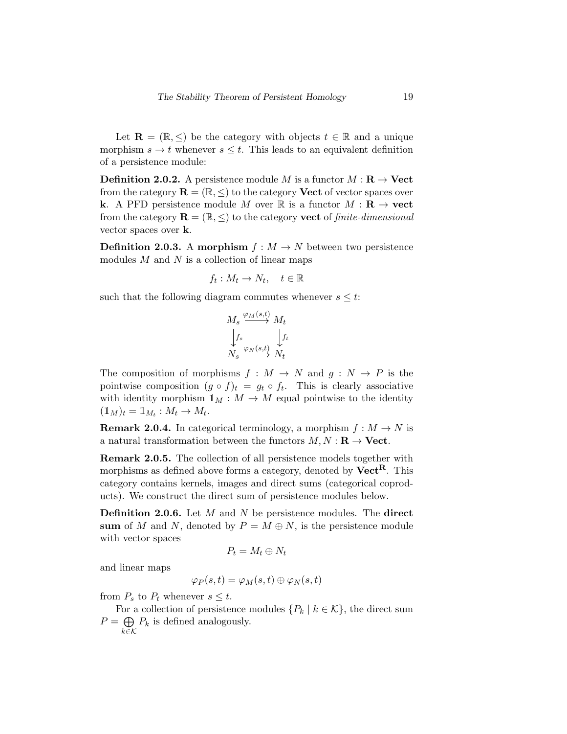Let  $\mathbf{R} = (\mathbb{R}, \leq)$  be the category with objects  $t \in \mathbb{R}$  and a unique morphism  $s \to t$  whenever  $s \leq t$ . This leads to an equivalent definition of a persistence module:

**Definition 2.0.2.** A persistence module M is a functor  $M : \mathbf{R} \to \mathbf{Vect}$ from the category  $\mathbf{R} = (\mathbb{R}, \leq)$  to the category **Vect** of vector spaces over k. A PFD persistence module M over R is a functor  $M : \mathbf{R} \to \textbf{vect}$ from the category  $\mathbf{R} = (\mathbb{R}, \leq)$  to the category **vect** of *finite-dimensional* vector spaces over k.

**Definition 2.0.3.** A morphism  $f : M \to N$  between two persistence modules  $M$  and  $N$  is a collection of linear maps

$$
f_t: M_t \to N_t, \quad t \in \mathbb{R}
$$

such that the following diagram commutes whenever  $s \leq t$ :

$$
M_s \stackrel{\varphi_M(s,t)}{\longrightarrow} M_t
$$
  

$$
\downarrow f_s
$$
  

$$
N_s \stackrel{\varphi_N(s,t)}{\longrightarrow} N_t
$$

The composition of morphisms  $f : M \to N$  and  $g : N \to P$  is the pointwise composition  $(g \circ f)_t = g_t \circ f_t$ . This is clearly associative with identity morphism  $\mathbb{1}_M : M \to M$  equal pointwise to the identity  $(\mathbb{1}_M)_t = \mathbb{1}_{M_t} : M_t \to M_t.$ 

**Remark 2.0.4.** In categorical terminology, a morphism  $f : M \to N$  is a natural transformation between the functors  $M, N : \mathbf{R} \to \mathbf{Vect}$ .

Remark 2.0.5. The collection of all persistence models together with morphisms as defined above forms a category, denoted by  $\text{Vect}^R$ . This category contains kernels, images and direct sums (categorical coproducts). We construct the direct sum of persistence modules below.

**Definition 2.0.6.** Let  $M$  and  $N$  be persistence modules. The direct sum of M and N, denoted by  $P = M \oplus N$ , is the persistence module with vector spaces

$$
P_t = M_t \oplus N_t
$$

and linear maps

$$
\varphi_P(s,t)=\varphi_M(s,t)\oplus\varphi_N(s,t)
$$

from  $P_s$  to  $P_t$  whenever  $s \leq t$ .

For a collection of persistence modules  $\{P_k \mid k \in \mathcal{K}\}\$ , the direct sum  $P = \bigoplus$ k∈K  $P_k$  is defined analogously.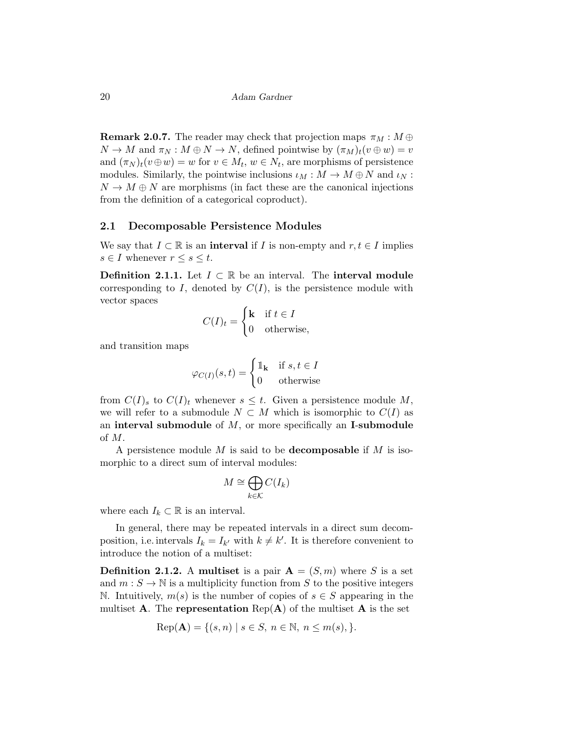**Remark 2.0.7.** The reader may check that projection maps  $\pi_M : M \oplus$  $N \to M$  and  $\pi_N : M \oplus N \to N$ , defined pointwise by  $(\pi_M)_t(v \oplus w) = v$ and  $(\pi_N)_t(v\oplus w) = w$  for  $v \in M_t$ ,  $w \in N_t$ , are morphisms of persistence modules. Similarly, the pointwise inclusions  $\iota_M : M \to M \oplus N$  and  $\iota_N$ :  $N \to M \oplus N$  are morphisms (in fact these are the canonical injections from the definition of a categorical coproduct).

#### 2.1 Decomposable Persistence Modules

We say that  $I \subset \mathbb{R}$  is an interval if I is non-empty and  $r, t \in I$  implies  $s \in I$  whenever  $r \leq s \leq t$ .

**Definition 2.1.1.** Let  $I \subset \mathbb{R}$  be an interval. The **interval module** corresponding to I, denoted by  $C(I)$ , is the persistence module with vector spaces

$$
C(I)_t = \begin{cases} \mathbf{k} & \text{if } t \in I \\ 0 & \text{otherwise,} \end{cases}
$$

and transition maps

$$
\varphi_{C(I)}(s,t) = \begin{cases} \mathbb{1}_{\mathbf{k}} & \text{if } s, t \in I \\ 0 & \text{otherwise} \end{cases}
$$

from  $C(I)_s$  to  $C(I)_t$  whenever  $s \leq t$ . Given a persistence module M, we will refer to a submodule  $N \subset M$  which is isomorphic to  $C(I)$  as an interval submodule of  $M$ , or more specifically an I-submodule of M.

A persistence module  $M$  is said to be **decomposable** if  $M$  is isomorphic to a direct sum of interval modules:

$$
M \cong \bigoplus_{k \in \mathcal{K}} C(I_k)
$$

where each  $I_k \subset \mathbb{R}$  is an interval.

In general, there may be repeated intervals in a direct sum decomposition, i.e. intervals  $I_k = I_{k'}$  with  $k \neq k'$ . It is therefore convenient to introduce the notion of a multiset:

**Definition 2.1.2.** A multiset is a pair  $A = (S, m)$  where S is a set and  $m : S \to \mathbb{N}$  is a multiplicity function from S to the positive integers N. Intuitively,  $m(s)$  is the number of copies of  $s \in S$  appearing in the multiset **A**. The **representation**  $Rep(A)$  of the multiset **A** is the set

Rep(**A**) = {
$$
(s, n) | s \in S, n \in \mathbb{N}, n \le m(s),
$$
 }.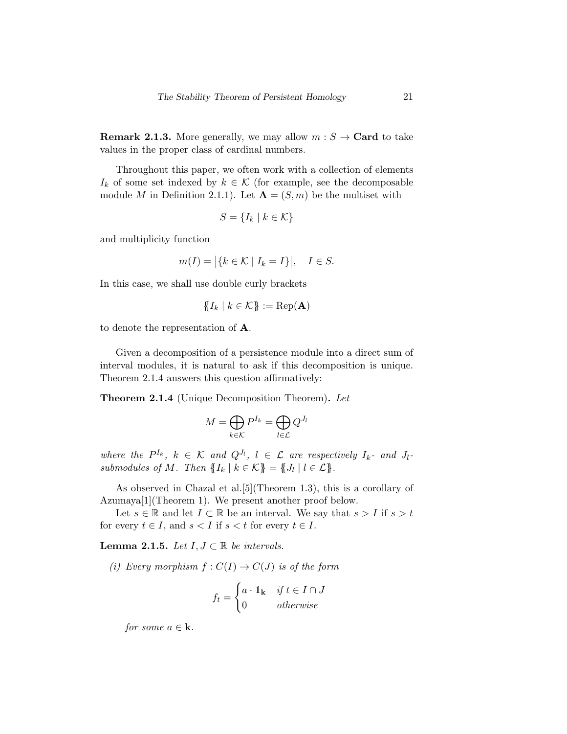**Remark 2.1.3.** More generally, we may allow  $m : S \rightarrow \text{Card}$  to take values in the proper class of cardinal numbers.

Throughout this paper, we often work with a collection of elements  $I_k$  of some set indexed by  $k \in \mathcal{K}$  (for example, see the decomposable module M in Definition 2.1.1). Let  $\mathbf{A} = (S, m)$  be the multiset with

$$
S = \{I_k \mid k \in \mathcal{K}\}
$$

and multiplicity function

$$
m(I) = |\{k \in \mathcal{K} \mid I_k = I\}|, \quad I \in S.
$$

In this case, we shall use double curly brackets

$$
\{\!\!\{I_k\mid k\in\mathcal{K}\}\!\!\}:=\operatorname{Rep}(\mathbf{A})
$$

to denote the representation of A.

Given a decomposition of a persistence module into a direct sum of interval modules, it is natural to ask if this decomposition is unique. Theorem 2.1.4 answers this question affirmatively:

**Theorem 2.1.4** (Unique Decomposition Theorem). Let

$$
M=\bigoplus_{k\in\mathcal{K}}P^{I_k}=\bigoplus_{l\in\mathcal{L}}Q^{J_l}
$$

where the  $P^{I_k}$ ,  $k \in \mathcal{K}$  and  $Q^{J_l}$ ,  $l \in \mathcal{L}$  are respectively  $I_k$ - and  $J_l$ submodules of M. Then  $\{I_k | k \in \mathcal{K}\} = \{J_l | l \in \mathcal{L}\}.$ 

As observed in Chazal et al.[5](Theorem 1.3), this is a corollary of Azumaya[1](Theorem 1). We present another proof below.

Let  $s \in \mathbb{R}$  and let  $I \subset \mathbb{R}$  be an interval. We say that  $s > I$  if  $s > t$ for every  $t \in I$ , and  $s < I$  if  $s < t$  for every  $t \in I$ .

Lemma 2.1.5. Let  $I, J \subset \mathbb{R}$  be intervals.

(i) Every morphism  $f: C(I) \to C(J)$  is of the form

$$
f_t = \begin{cases} a \cdot \mathbb{1}_{\mathbf{k}} & \text{if } t \in I \cap J \\ 0 & \text{otherwise} \end{cases}
$$

for some  $a \in \mathbf{k}$ .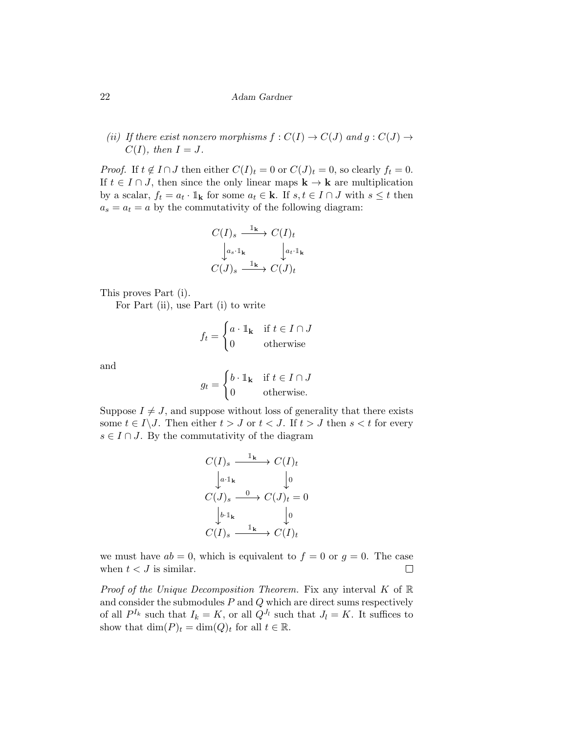(ii) If there exist nonzero morphisms  $f: C(I) \to C(J)$  and  $g: C(J) \to C(J)$  $C(I)$ , then  $I = J$ .

*Proof.* If  $t \notin I \cap J$  then either  $C(I)_t = 0$  or  $C(J)_t = 0$ , so clearly  $f_t = 0$ . If  $t \in I \cap J$ , then since the only linear maps  $\mathbf{k} \to \mathbf{k}$  are multiplication by a scalar,  $f_t = a_t \cdot \mathbb{1}_k$  for some  $a_t \in \mathbf{k}$ . If  $s, t \in I \cap J$  with  $s \leq t$  then  $a_s = a_t = a$  by the commutativity of the following diagram:

$$
C(I)_s \xrightarrow{\mathbb{1}_{\mathbf{k}}} C(I)_t
$$

$$
\downarrow^{a_s \cdot \mathbb{1}_{\mathbf{k}}} \downarrow^{a_t \cdot \mathbb{1}_{\mathbf{k}}}
$$

$$
C(J)_s \xrightarrow{\mathbb{1}_{\mathbf{k}}} C(J)_t
$$

This proves Part (i).

For Part (ii), use Part (i) to write

$$
f_t = \begin{cases} a \cdot \mathbb{1}_{\mathbf{k}} & \text{if } t \in I \cap J \\ 0 & \text{otherwise} \end{cases}
$$

and

$$
g_t = \begin{cases} b \cdot \mathbb{1}_{\mathbf{k}} & \text{if } t \in I \cap J \\ 0 & \text{otherwise.} \end{cases}
$$

Suppose  $I \neq J$ , and suppose without loss of generality that there exists some  $t \in I \backslash J$ . Then either  $t > J$  or  $t < J$ . If  $t > J$  then  $s < t$  for every  $s \in I \cap J$ . By the commutativity of the diagram

$$
C(I)_s \xrightarrow{\mathbb{I}_{\mathbf{k}}} C(I)_t
$$
  
\n
$$
\downarrow^{a \cdot \mathbb{I}_{\mathbf{k}}} \qquad \qquad \downarrow^0
$$
  
\n
$$
C(J)_s \xrightarrow{\mathbf{0}} C(J)_t = 0
$$
  
\n
$$
\downarrow^{b \cdot \mathbb{I}_{\mathbf{k}}} \qquad \qquad \downarrow^0
$$
  
\n
$$
C(I)_s \xrightarrow{\mathbb{I}_{\mathbf{k}}} C(I)_t
$$

we must have  $ab = 0$ , which is equivalent to  $f = 0$  or  $g = 0$ . The case when  $t < J$  is similar.  $\Box$ 

*Proof of the Unique Decomposition Theorem.* Fix any interval  $K$  of  $\mathbb{R}$ and consider the submodules  $P$  and  $Q$  which are direct sums respectively of all  $P^{I_k}$  such that  $I_k = K$ , or all  $Q^{J_l}$  such that  $J_l = K$ . It suffices to show that  $\dim(P)_t = \dim(Q)_t$  for all  $t \in \mathbb{R}$ .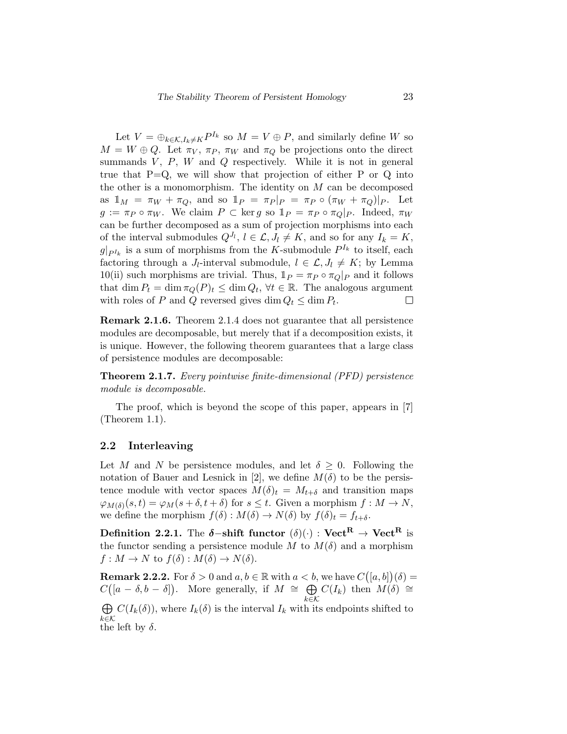Let  $V = \bigoplus_{k \in \mathcal{K}, I_k \neq K} P^{I_k}$  so  $M = V \oplus P$ , and similarly define W so  $M = W \oplus Q$ . Let  $\pi_V$ ,  $\pi_P$ ,  $\pi_W$  and  $\pi_Q$  be projections onto the direct summands  $V, P, W$  and  $Q$  respectively. While it is not in general true that  $P=Q$ , we will show that projection of either P or Q into the other is a monomorphism. The identity on  $M$  can be decomposed as  $\mathbb{1}_M = \pi_W + \pi_Q$ , and so  $\mathbb{1}_P = \pi_P |_{P} = \pi_P \circ (\pi_W + \pi_Q)|_P$ . Let  $g := \pi_P \circ \pi_W$ . We claim  $P \subset \text{ker } g$  so  $1_P = \pi_P \circ \pi_Q |_{P}$ . Indeed,  $\pi_W$ can be further decomposed as a sum of projection morphisms into each of the interval submodules  $Q^{J_l}$ ,  $l \in \mathcal{L}, J_l \neq K$ , and so for any  $I_k = K$ ,  $g|_{P^{I_k}}$  is a sum of morphisms from the K-submodule  $P^{I_k}$  to itself, each factoring through a  $J_l$ -interval submodule,  $l \in \mathcal{L}, J_l \neq K$ ; by Lemma 10(ii) such morphisms are trivial. Thus,  $1_P = \pi_P \circ \pi_Q|_P$  and it follows that dim  $P_t = \dim \pi_Q(P)_t \leq \dim Q_t$ ,  $\forall t \in \mathbb{R}$ . The analogous argument with roles of P and Q reversed gives  $\dim Q_t \leq \dim P_t$ .  $\Box$ 

Remark 2.1.6. Theorem 2.1.4 does not guarantee that all persistence modules are decomposable, but merely that if a decomposition exists, it is unique. However, the following theorem guarantees that a large class of persistence modules are decomposable:

Theorem 2.1.7. Every pointwise finite-dimensional (PFD) persistence module is decomposable.

The proof, which is beyond the scope of this paper, appears in [7] (Theorem 1.1).

### 2.2 Interleaving

Let M and N be persistence modules, and let  $\delta \geq 0$ . Following the notation of Bauer and Lesnick in [2], we define  $M(\delta)$  to be the persistence module with vector spaces  $M(\delta)_t = M_{t+\delta}$  and transition maps  $\varphi_{M(\delta)}(s,t) = \varphi_M(s+\delta,t+\delta)$  for  $s \leq t$ . Given a morphism  $f: M \to N$ , we define the morphism  $f(\delta) : M(\delta) \to N(\delta)$  by  $f(\delta)_t = f_{t+\delta}$ .

Definition 2.2.1. The  $\delta$ -shift functor  $(\delta)(\cdot)$  : Vect<sup>R</sup>  $\rightarrow$  Vect<sup>R</sup> is the functor sending a persistence module M to  $M(\delta)$  and a morphism  $f: M \to N$  to  $f(\delta): M(\delta) \to N(\delta)$ .

**Remark 2.2.2.** For  $\delta > 0$  and  $a, b \in \mathbb{R}$  with  $a < b$ , we have  $C([a, b])(\delta) =$  $C([a - \delta, b - \delta])$ . More generally, if  $M \cong \bigoplus C(I_k)$  then  $M(\delta) \cong$  $k \in \mathcal{K}$  $\bigoplus C(I_k(\delta))$ , where  $I_k(\delta)$  is the interval  $I_k$  with its endpoints shifted to

 $k \in \mathcal{K}$ the left by  $\delta$ .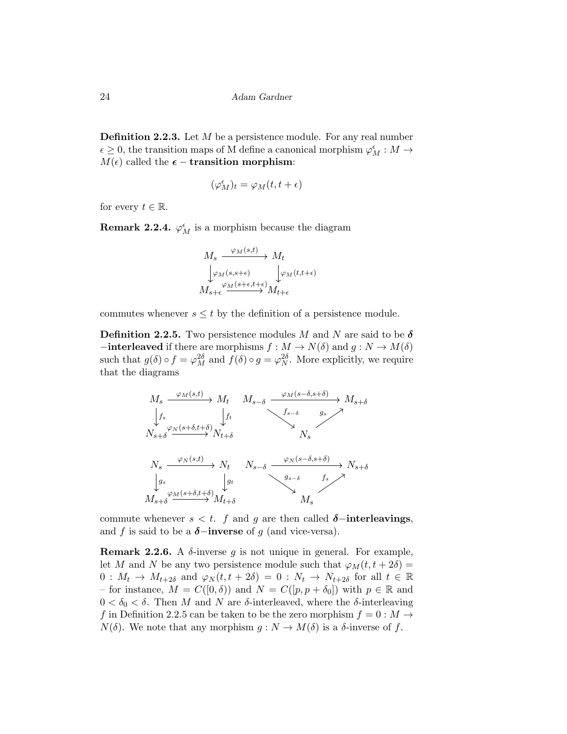**Definition 2.2.3.** Let  $M$  be a persistence module. For any real number  $\epsilon \geq 0,$  the transition maps of M define a canonical morphism  $\varphi^{\epsilon}_M : M \to$  $M(\epsilon)$  called the  $\epsilon$  – transition morphism:

$$
(\varphi_M^\epsilon)_t=\varphi_M(t,t+\epsilon)
$$

for every  $t \in \mathbb{R}$ .

**Remark 2.2.4.**  $\varphi_M^{\epsilon}$  is a morphism because the diagram

$$
M_s \xrightarrow{\varphi_M(s,t)} M_t
$$
  
\n
$$
\downarrow \varphi_M(s,s+\epsilon)
$$
  
\n
$$
M_{s+\epsilon} \xrightarrow{\varphi_M(s+\epsilon,t+\epsilon)} M_{t+\epsilon}
$$

commutes whenever  $s \leq t$  by the definition of a persistence module.

**Definition 2.2.5.** Two persistence modules M and N are said to be  $\delta$  $-\text{interleaved if there are morphisms } f : M \to N(\delta) \text{ and } g : N \to M(\delta)$ such that  $g(\delta) \circ f = \varphi_M^{2\delta}$  and  $f(\delta) \circ g = \varphi_N^{2\delta}$ . More explicitly, we require that the diagrams



commute whenever  $s < t$ . f and g are then called  $\delta$ -interleavings, and f is said to be a  $\delta$ −inverse of g (and vice-versa).

**Remark 2.2.6.** A  $\delta$ -inverse q is not unique in general. For example, let M and N be any two persistence module such that  $\varphi_M(t, t+2\delta)$  =  $0: M_t \to M_{t+2\delta}$  and  $\varphi_N(t,t+2\delta) = 0: N_t \to N_{t+2\delta}$  for all  $t \in \mathbb{R}$ – for instance,  $M = C([0, \delta))$  and  $N = C([p, p + \delta_0])$  with  $p \in \mathbb{R}$  and  $0 < \delta_0 < \delta$ . Then M and N are  $\delta$ -interleaved, where the  $\delta$ -interleaving f in Definition 2.2.5 can be taken to be the zero morphism  $f = 0 : M \to$  $N(\delta)$ . We note that any morphism  $g: N \to M(\delta)$  is a  $\delta$ -inverse of f.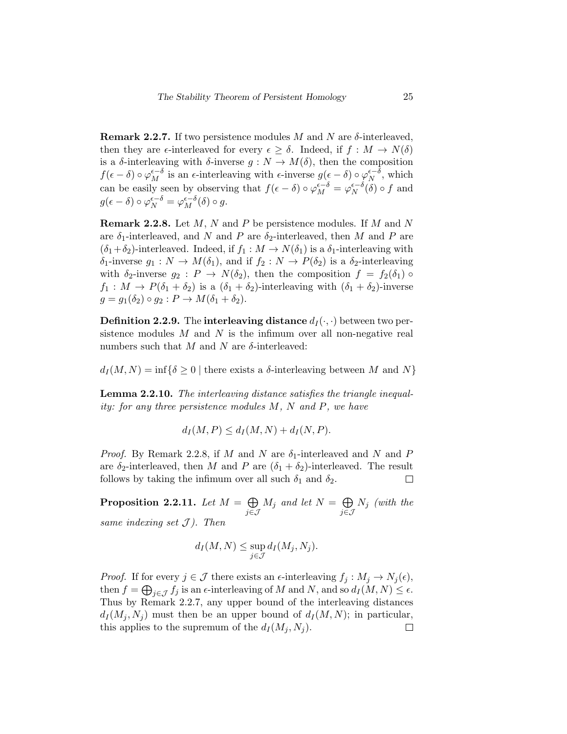**Remark 2.2.7.** If two persistence modules M and N are  $\delta$ -interleaved, then they are  $\epsilon$ -interleaved for every  $\epsilon > \delta$ . Indeed, if  $f : M \to N(\delta)$ is a  $\delta$ -interleaving with  $\delta$ -inverse  $g: N \to M(\delta)$ , then the composition  $f(\epsilon - \delta) \circ \varphi_M^{\epsilon - \delta}$  is an  $\epsilon$ -interleaving with  $\epsilon$ -inverse  $g(\epsilon - \delta) \circ \varphi_N^{\epsilon - \delta}$  $N^{\epsilon-\delta}$ , which can be easily seen by observing that  $f(\epsilon - \delta) \circ \varphi_M^{\epsilon - \delta} = \varphi_N^{\epsilon - \delta}$  $N^{\epsilon-\delta}(\delta) \circ f$  and  $g(\epsilon - \delta) \circ \varphi_N^{\epsilon - \delta} = \varphi_M^{\epsilon - \delta}(\delta) \circ g.$ 

**Remark 2.2.8.** Let  $M$ ,  $N$  and  $P$  be persistence modules. If  $M$  and  $N$ are  $\delta_1$ -interleaved, and N and P are  $\delta_2$ -interleaved, then M and P are  $(\delta_1+\delta_2)$ -interleaved. Indeed, if  $f_1: M \to N(\delta_1)$  is a  $\delta_1$ -interleaving with  $\delta_1$ -inverse  $g_1: N \to M(\delta_1)$ , and if  $f_2: N \to P(\delta_2)$  is a  $\delta_2$ -interleaving with  $\delta_2$ -inverse  $g_2 : P \to N(\delta_2)$ , then the composition  $f = f_2(\delta_1) \circ$  $f_1: M \to P(\delta_1 + \delta_2)$  is a  $(\delta_1 + \delta_2)$ -interleaving with  $(\delta_1 + \delta_2)$ -inverse  $g = g_1(\delta_2) \circ g_2 : P \to M(\delta_1 + \delta_2).$ 

**Definition 2.2.9.** The interleaving distance  $d_I(\cdot, \cdot)$  between two persistence modules  $M$  and  $N$  is the infimum over all non-negative real numbers such that M and N are  $\delta$ -interleaved:

 $d_I(M, N) = \inf \{ \delta \geq 0 \mid \text{there exists a } \delta \text{-interleaving between } M \text{ and } N \}$ 

Lemma 2.2.10. The interleaving distance satisfies the triangle inequality: for any three persistence modules M, N and P, we have

$$
d_I(M, P) \le d_I(M, N) + d_I(N, P).
$$

*Proof.* By Remark 2.2.8, if M and N are  $\delta_1$ -interleaved and N and P are  $\delta_2$ -interleaved, then M and P are  $(\delta_1 + \delta_2)$ -interleaved. The result follows by taking the infimum over all such  $\delta_1$  and  $\delta_2$ .  $\Box$ 

Proposition 2.2.11. Let  $M = \bigoplus$ j∈J  $M_j$  and let  $N = \bigoplus$ j∈J  $N_j$  (with the same indexing set  $J$ ). Then

$$
d_I(M, N) \le \sup_{j \in \mathcal{J}} d_I(M_j, N_j).
$$

*Proof.* If for every  $j \in \mathcal{J}$  there exists an  $\epsilon$ -interleaving  $f_j : M_j \to N_j(\epsilon)$ , then  $f = \bigoplus_{j \in \mathcal{J}} f_j$  is an  $\epsilon$ -interleaving of M and N, and so  $d_I(M, N) \leq \epsilon$ . Thus by Remark 2.2.7, any upper bound of the interleaving distances  $d_I(M_i, N_i)$  must then be an upper bound of  $d_I(M, N)$ ; in particular, this applies to the supremum of the  $d_I(M_i, N_i)$ .  $\Box$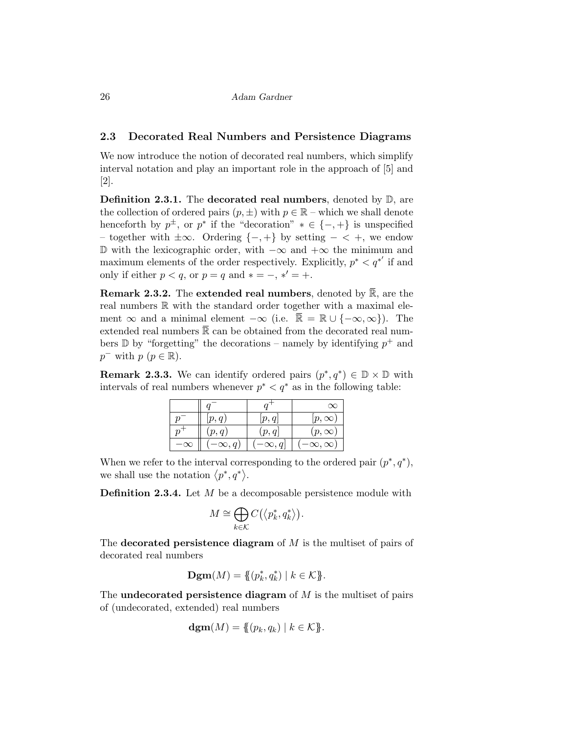#### 2.3 Decorated Real Numbers and Persistence Diagrams

We now introduce the notion of decorated real numbers, which simplify interval notation and play an important role in the approach of [5] and [2].

**Definition 2.3.1.** The decorated real numbers, denoted by  $\mathbb{D}$ , are the collection of ordered pairs  $(p, \pm)$  with  $p \in \mathbb{R}$  – which we shall denote henceforth by  $p^{\pm}$ , or  $p^*$  if the "decoration"  $* \in \{-, +\}$  is unspecified – together with ±∞. Ordering {−, +} by setting − < +, we endow D with the lexicographic order, with  $-\infty$  and  $+\infty$  the minimum and maximum elements of the order respectively. Explicitly,  $p^* < q^{*'}$  if and only if either  $p < q$ , or  $p = q$  and  $* = -$ ,  $*' = +$ .

**Remark 2.3.2.** The **extended real numbers**, denoted by  $\mathbb{R}$ , are the real numbers R with the standard order together with a maximal element  $\infty$  and a minimal element  $-\infty$  (i.e.  $\bar{\mathbb{R}} = \mathbb{R} \cup \{-\infty, \infty\}$ ). The extended real numbers  $\bar{\mathbb{R}}$  can be obtained from the decorated real numbers  $\mathbb D$  by "forgetting" the decorations – namely by identifying  $p^+$  and  $p^-$  with  $p \ (p \in \mathbb{R})$ .

**Remark 2.3.3.** We can identify ordered pairs  $(p^*, q^*) \in \mathbb{D} \times \mathbb{D}$  with intervals of real numbers whenever  $p^* < q^*$  as in the following table:

|           | p, q        |             | $[p,\infty]$      |
|-----------|-------------|-------------|-------------------|
|           | p, q        | p, q        | $(p,\infty)$      |
| $-\infty$ | $\infty, q$ | $\infty, q$ | $\infty, \infty)$ |

When we refer to the interval corresponding to the ordered pair  $(p^*, q^*)$ , we shall use the notation  $\langle p^*, q^* \rangle$ .

**Definition 2.3.4.** Let  $M$  be a decomposable persistence module with

$$
M \cong \bigoplus_{k \in \mathcal{K}} C(\langle p_k^*, q_k^* \rangle).
$$

The decorated persistence diagram of  $M$  is the multiset of pairs of decorated real numbers

**Dgm**
$$
(M) = \{ (p_k^*, q_k^*) | k \in \mathcal{K} \}.
$$

The undecorated persistence diagram of  $M$  is the multiset of pairs of (undecorated, extended) real numbers

$$
\operatorname{dgm}(M) = \{ \{(p_k, q_k) \mid k \in \mathcal{K} \}.
$$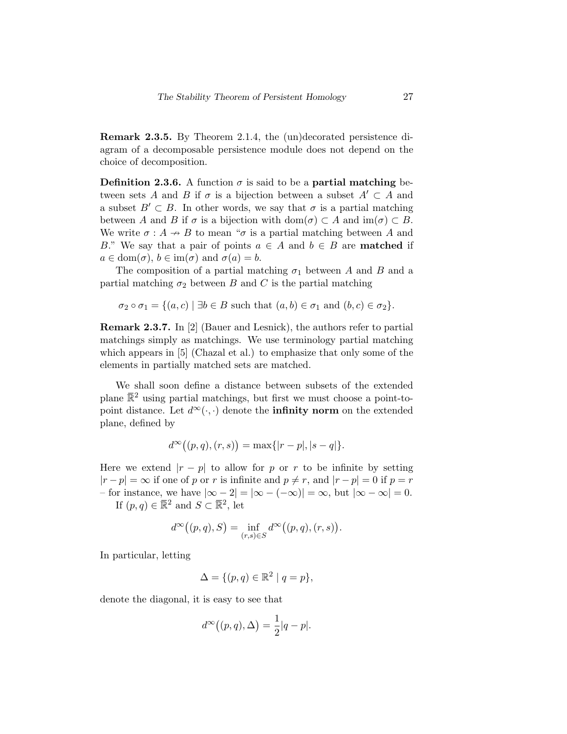Remark 2.3.5. By Theorem 2.1.4, the (un)decorated persistence diagram of a decomposable persistence module does not depend on the choice of decomposition.

Definition 2.3.6. A function  $\sigma$  is said to be a partial matching between sets A and B if  $\sigma$  is a bijection between a subset  $A' \subset A$  and a subset  $B' \subset B$ . In other words, we say that  $\sigma$  is a partial matching between A and B if  $\sigma$  is a bijection with dom( $\sigma$ )  $\subset A$  and im( $\sigma$ )  $\subset B$ . We write  $\sigma : A \rightarrow B$  to mean " $\sigma$  is a partial matching between A and B." We say that a pair of points  $a \in A$  and  $b \in B$  are **matched** if  $a \in \text{dom}(\sigma)$ ,  $b \in \text{im}(\sigma)$  and  $\sigma(a) = b$ .

The composition of a partial matching  $\sigma_1$  between A and B and a partial matching  $\sigma_2$  between B and C is the partial matching

$$
\sigma_2 \circ \sigma_1 = \{(a, c) \mid \exists b \in B \text{ such that } (a, b) \in \sigma_1 \text{ and } (b, c) \in \sigma_2\}.
$$

Remark 2.3.7. In [2] (Bauer and Lesnick), the authors refer to partial matchings simply as matchings. We use terminology partial matching which appears in [5] (Chazal et al.) to emphasize that only some of the elements in partially matched sets are matched.

We shall soon define a distance between subsets of the extended plane  $\mathbb{R}^2$  using partial matchings, but first we must choose a point-topoint distance. Let  $d^{\infty}(\cdot, \cdot)$  denote the **infinity norm** on the extended plane, defined by

$$
d^{\infty}((p,q),(r,s)) = \max\{|r-p|,|s-q|\}.
$$

Here we extend  $|r - p|$  to allow for p or r to be infinite by setting  $|r - p| = \infty$  if one of p or r is infinite and  $p \neq r$ , and  $|r - p| = 0$  if  $p = r$ – for instance, we have  $|\infty - 2| = |\infty - (-\infty)| = \infty$ , but  $|\infty - \infty| = 0$ . If  $(p, q) \in \overline{\mathbb{R}}^2$  and  $S \subset \overline{\mathbb{R}}^2$ , let

$$
d^\infty\big((p,q),S\big)=\inf_{(r,s)\in S}d^\infty\big((p,q),(r,s)\big).
$$

In particular, letting

$$
\Delta = \{ (p, q) \in \mathbb{R}^2 \mid q = p \},\
$$

denote the diagonal, it is easy to see that

$$
d^{\infty}((p,q), \Delta) = \frac{1}{2}|q-p|.
$$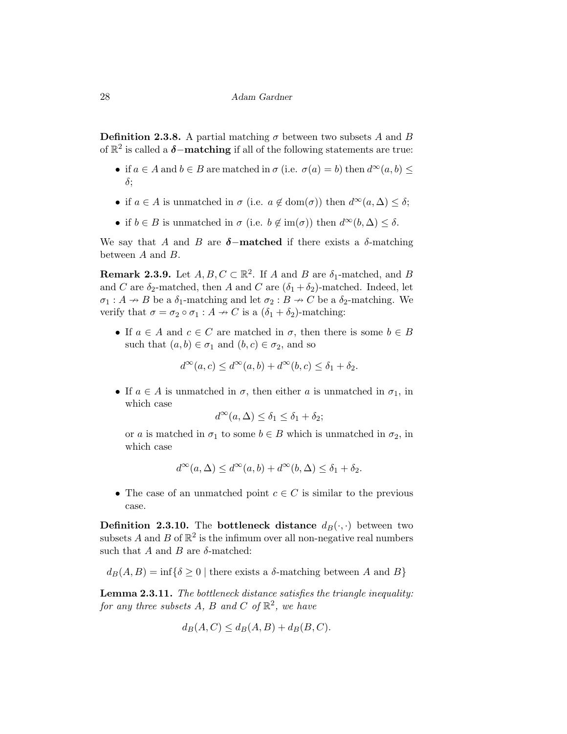**Definition 2.3.8.** A partial matching  $\sigma$  between two subsets A and B of  $\mathbb{R}^2$  is called a  $\boldsymbol{\delta}-$ **matching** if all of the following statements are true:

- if  $a \in A$  and  $b \in B$  are matched in  $\sigma$  (i.e.  $\sigma(a) = b$ ) then  $d^{\infty}(a, b) \leq$ δ;
- if  $a \in A$  is unmatched in  $\sigma$  (i.e.  $a \notin \text{dom}(\sigma)$ ) then  $d^{\infty}(a, \Delta) \leq \delta$ ;
- if  $b \in B$  is unmatched in  $\sigma$  (i.e.  $b \notin \text{im}(\sigma)$ ) then  $d^{\infty}(b, \Delta) \leq \delta$ .

We say that A and B are  $\delta$ -matched if there exists a  $\delta$ -matching between A and B.

**Remark 2.3.9.** Let  $A, B, C \subset \mathbb{R}^2$ . If A and B are  $\delta_1$ -matched, and B and C are  $\delta_2$ -matched, then A and C are  $(\delta_1 + \delta_2)$ -matched. Indeed, let  $\sigma_1 : A \nightharpoonup B$  be a  $\delta_1$ -matching and let  $\sigma_2 : B \nightharpoonup C$  be a  $\delta_2$ -matching. We verify that  $\sigma = \sigma_2 \circ \sigma_1 : A \to C$  is a  $(\delta_1 + \delta_2)$ -matching:

• If  $a \in A$  and  $c \in C$  are matched in  $\sigma$ , then there is some  $b \in B$ such that  $(a, b) \in \sigma_1$  and  $(b, c) \in \sigma_2$ , and so

$$
d^{\infty}(a,c) \le d^{\infty}(a,b) + d^{\infty}(b,c) \le \delta_1 + \delta_2.
$$

• If  $a \in A$  is unmatched in  $\sigma$ , then either a is unmatched in  $\sigma_1$ , in which case

$$
d^{\infty}(a,\Delta) \leq \delta_1 \leq \delta_1 + \delta_2;
$$

or a is matched in  $\sigma_1$  to some  $b \in B$  which is unmatched in  $\sigma_2$ , in which case

$$
d^{\infty}(a,\Delta) \le d^{\infty}(a,b) + d^{\infty}(b,\Delta) \le \delta_1 + \delta_2.
$$

• The case of an unmatched point  $c \in C$  is similar to the previous case.

**Definition 2.3.10.** The **bottleneck distance**  $d_B(\cdot, \cdot)$  between two subsets A and B of  $\mathbb{R}^2$  is the infimum over all non-negative real numbers such that  $A$  and  $B$  are  $\delta$ -matched:

$$
d_B(A, B) = \inf \{ \delta \ge 0 \mid \text{there exists a } \delta \text{-matching between } A \text{ and } B \}
$$

Lemma 2.3.11. The bottleneck distance satisfies the triangle inequality: for any three subsets A, B and C of  $\mathbb{R}^2$ , we have

$$
d_B(A, C) \le d_B(A, B) + d_B(B, C).
$$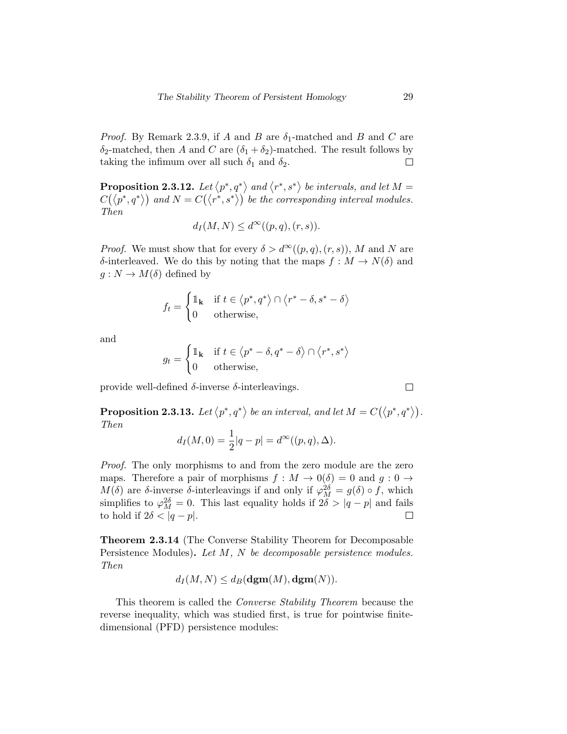*Proof.* By Remark 2.3.9, if A and B are  $\delta_1$ -matched and B and C are  $\delta_2$ -matched, then A and C are  $(\delta_1 + \delta_2)$ -matched. The result follows by taking the infimum over all such  $\delta_1$  and  $\delta_2$ .  $\Box$ 

**Proposition 2.3.12.** Let  $\langle p^*, q^* \rangle$  and  $\langle r^*, s^* \rangle$  be intervals, and let  $M =$  $C(\langle p^*,q^*\rangle)$  and  $N=C(\langle r^*,s^*\rangle)$  be the corresponding interval modules. Then

$$
d_I(M, N) \le d^{\infty}((p, q), (r, s)).
$$

*Proof.* We must show that for every  $\delta > d^{\infty}((p,q),(r,s)), M$  and N are δ-interleaved. We do this by noting that the maps  $f : M \to N(\delta)$  and  $g: N \to M(\delta)$  defined by

$$
f_t = \begin{cases} \mathbb{1}_{\mathbf{k}} & \text{if } t \in \langle p^*, q^* \rangle \cap \langle r^* - \delta, s^* - \delta \rangle \\ 0 & \text{otherwise,} \end{cases}
$$

and

$$
g_t = \begin{cases} \mathbb{1}_{\mathbf{k}} & \text{if } t \in \langle p^* - \delta, q^* - \delta \rangle \cap \langle r^*, s^* \rangle \\ 0 & \text{otherwise,} \end{cases}
$$

provide well-defined  $\delta$ -inverse  $\delta$ -interleavings.

**Proposition 2.3.13.** Let  $\langle p^*, q^* \rangle$  be an interval, and let  $M = C(\langle p^*, q^* \rangle)$ . Then

$$
d_I(M, 0) = \frac{1}{2}|q - p| = d^{\infty}((p, q), \Delta).
$$

Proof. The only morphisms to and from the zero module are the zero maps. Therefore a pair of morphisms  $f : M \to 0$  ( $\delta$ ) = 0 and  $g : 0 \to$  $M(\delta)$  are  $\delta$ -inverse  $\delta$ -interleavings if and only if  $\varphi_M^{2\delta} = g(\delta) \circ f$ , which simplifies to  $\varphi_M^{2\delta} = 0$ . This last equality holds if  $2\delta > |q - p|$  and fails to hold if  $2\delta < |q-p|$ .  $\Box$ 

Theorem 2.3.14 (The Converse Stability Theorem for Decomposable Persistence Modules). Let M, N be decomposable persistence modules. Then

$$
d_I(M, N) \leq d_B(\operatorname{dgm}(M), \operatorname{dgm}(N)).
$$

This theorem is called the Converse Stability Theorem because the reverse inequality, which was studied first, is true for pointwise finitedimensional (PFD) persistence modules:

 $\Box$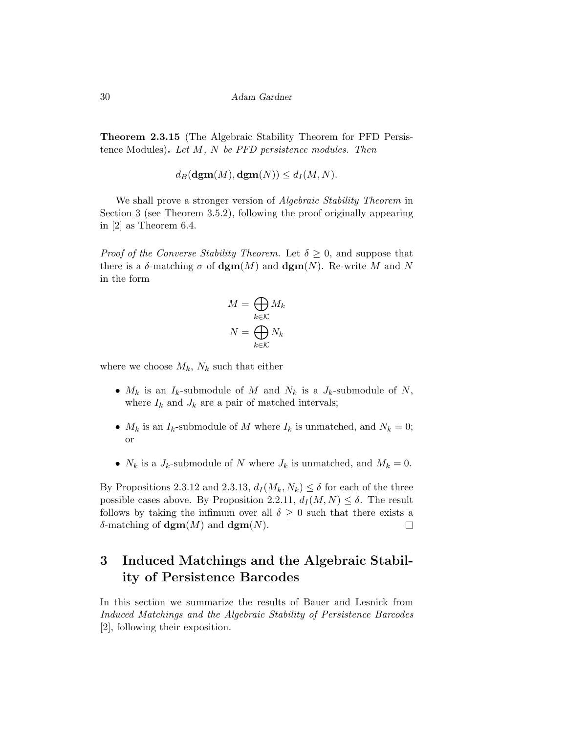Theorem 2.3.15 (The Algebraic Stability Theorem for PFD Persistence Modules). Let  $M$ ,  $N$  be PFD persistence modules. Then

 $d_B(\mathbf{dgm}(M), \mathbf{dgm}(N)) \leq d_I(M, N).$ 

We shall prove a stronger version of Algebraic Stability Theorem in Section 3 (see Theorem 3.5.2), following the proof originally appearing in [2] as Theorem 6.4.

*Proof of the Converse Stability Theorem.* Let  $\delta \geq 0$ , and suppose that there is a  $\delta$ -matching  $\sigma$  of  $\operatorname{dgm}(M)$  and  $\operatorname{dgm}(N)$ . Re-write M and N in the form

$$
M = \bigoplus_{k \in \mathcal{K}} M_k
$$

$$
N = \bigoplus_{k \in \mathcal{K}} N_k
$$

where we choose  $M_k$ ,  $N_k$  such that either

- $M_k$  is an  $I_k$ -submodule of M and  $N_k$  is a  $J_k$ -submodule of N, where  $I_k$  and  $J_k$  are a pair of matched intervals;
- $M_k$  is an  $I_k$ -submodule of M where  $I_k$  is unmatched, and  $N_k = 0$ ; or
- $N_k$  is a  $J_k$ -submodule of N where  $J_k$  is unmatched, and  $M_k = 0$ .

By Propositions 2.3.12 and 2.3.13,  $d_I(M_k, N_k) \leq \delta$  for each of the three possible cases above. By Proposition 2.2.11,  $d_I(M, N) \leq \delta$ . The result follows by taking the infimum over all  $\delta \geq 0$  such that there exists a δ-matching of  $\textbf{dgm}(M)$  and  $\textbf{dgm}(N)$ .  $\Box$ 

# 3 Induced Matchings and the Algebraic Stability of Persistence Barcodes

In this section we summarize the results of Bauer and Lesnick from Induced Matchings and the Algebraic Stability of Persistence Barcodes [2], following their exposition.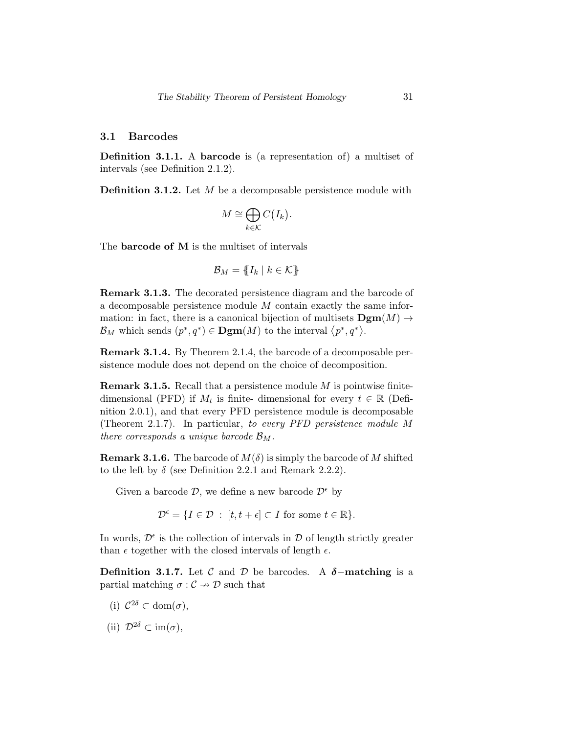#### 3.1 Barcodes

Definition 3.1.1. A barcode is (a representation of) a multiset of intervals (see Definition 2.1.2).

**Definition 3.1.2.** Let M be a decomposable persistence module with

$$
M \cong \bigoplus_{k \in \mathcal{K}} C(I_k).
$$

The **barcode of M** is the multiset of intervals

$$
\mathcal{B}_M = \{\!\!\{I_k \mid k \in \mathcal{K}\}\!\!\}
$$

Remark 3.1.3. The decorated persistence diagram and the barcode of a decomposable persistence module M contain exactly the same information: in fact, there is a canonical bijection of multisets  $\mathbf{Dgm}(M) \rightarrow$  $\mathcal{B}_M$  which sends  $(p^*, q^*) \in \mathbf{Dgm}(M)$  to the interval  $\langle p^*, q^* \rangle$ .

Remark 3.1.4. By Theorem 2.1.4, the barcode of a decomposable persistence module does not depend on the choice of decomposition.

**Remark 3.1.5.** Recall that a persistence module  $M$  is pointwise finitedimensional (PFD) if  $M_t$  is finite-dimensional for every  $t \in \mathbb{R}$  (Definition 2.0.1), and that every PFD persistence module is decomposable (Theorem 2.1.7). In particular, to every PFD persistence module M there corresponds a unique barcode  $\mathcal{B}_M$ .

**Remark 3.1.6.** The barcode of  $M(\delta)$  is simply the barcode of M shifted to the left by  $\delta$  (see Definition 2.2.1 and Remark 2.2.2).

Given a barcode  $\mathcal{D}$ , we define a new barcode  $\mathcal{D}^{\epsilon}$  by

 $\mathcal{D}^{\epsilon} = \{I \in \mathcal{D} : [t, t + \epsilon] \subset I \text{ for some } t \in \mathbb{R}\}.$ 

In words,  $\mathcal{D}^{\epsilon}$  is the collection of intervals in  $\mathcal{D}$  of length strictly greater than  $\epsilon$  together with the closed intervals of length  $\epsilon$ .

Definition 3.1.7. Let C and D be barcodes. A  $\delta$ -matching is a partial matching  $\sigma : \mathcal{C} \to \mathcal{D}$  such that

- (i)  $\mathcal{C}^{2\delta} \subset \text{dom}(\sigma)$ ,
- (ii)  $\mathcal{D}^{2\delta} \subset \text{im}(\sigma)$ ,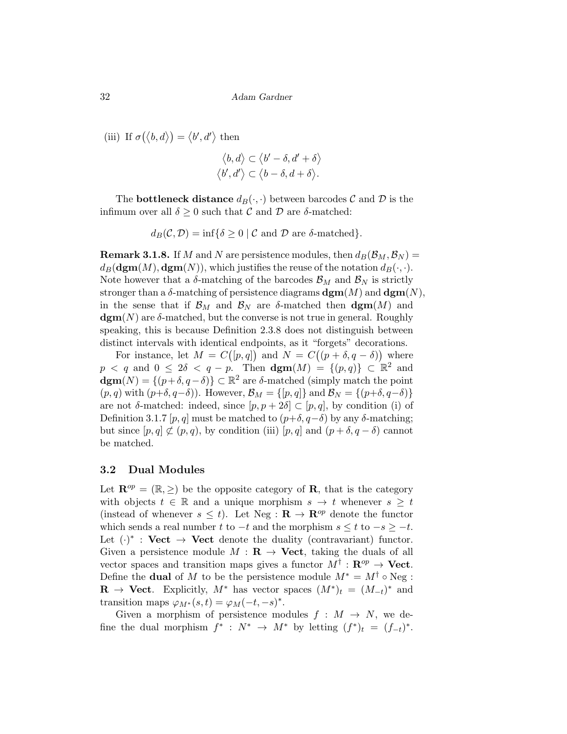(iii) If  $\sigma(\langle b, d \rangle) = \langle b', d' \rangle$  then

$$
\langle b, d \rangle \subset \langle b' - \delta, d' + \delta \rangle
$$
  

$$
\langle b', d' \rangle \subset \langle b - \delta, d + \delta \rangle.
$$

The **bottleneck distance**  $d_B(\cdot, \cdot)$  between barcodes  $C$  and  $D$  is the infimum over all  $\delta \geq 0$  such that C and D are  $\delta$ -matched:

 $d_B(\mathcal{C}, \mathcal{D}) = \inf \{ \delta \geq 0 \mid \mathcal{C} \text{ and } \mathcal{D} \text{ are } \delta \text{-matched} \}.$ 

**Remark 3.1.8.** If M and N are persistence modules, then  $d_B(\mathcal{B}_M, \mathcal{B}_N) =$  $d_B(\mathbf{dgm}(M), \mathbf{dgm}(N))$ , which justifies the reuse of the notation  $d_B(\cdot, \cdot)$ . Note however that a  $\delta$ -matching of the barcodes  $\mathcal{B}_M$  and  $\mathcal{B}_N$  is strictly stronger than a  $\delta$ -matching of persistence diagrams  $\textbf{dgm}(M)$  and  $\textbf{dgm}(N)$ , in the sense that if  $\mathcal{B}_M$  and  $\mathcal{B}_N$  are  $\delta$ -matched then  $\textbf{dgm}(M)$  and  $\operatorname{dgm}(N)$  are  $\delta$ -matched, but the converse is not true in general. Roughly speaking, this is because Definition 2.3.8 does not distinguish between distinct intervals with identical endpoints, as it "forgets" decorations.

For instance, let  $M = C([p,q])$  and  $N = C((p + \delta, q - \delta))$  where  $p \le q$  and  $0 \le 2\delta \le q - p$ . Then  $\operatorname{dgm}(M) = \{(p,q)\} \subset \mathbb{R}^2$  and  $\operatorname{dgm}(N) = \{(p+\delta, q-\delta)\} \subset \mathbb{R}^2$  are  $\delta$ -matched (simply match the point  $(p, q)$  with  $(p+\delta, q-\delta)$ . However,  $\mathcal{B}_M = \{[p, q]\}\$  and  $\mathcal{B}_N = \{(p+\delta, q-\delta)\}\$ are not  $\delta$ -matched: indeed, since  $[p, p + 2\delta] \subset [p, q]$ , by condition (i) of Definition 3.1.7 [p, q] must be matched to  $(p+\delta, q-\delta)$  by any δ-matching; but since  $[p, q] \not\subset (p, q)$ , by condition (iii)  $[p, q]$  and  $(p + \delta, q - \delta)$  cannot be matched.

#### 3.2 Dual Modules

Let  $\mathbf{R}^{op} = (\mathbb{R}, \geq)$  be the opposite category of **R**, that is the category with objects  $t \in \mathbb{R}$  and a unique morphism  $s \to t$  whenever  $s \geq t$ (instead of whenever  $s \leq t$ ). Let Neg :  $\mathbf{R} \to \mathbf{R}^{op}$  denote the functor which sends a real number t to  $-t$  and the morphism  $s \leq t$  to  $-s \geq -t$ . Let  $(\cdot)^*$ : Vect  $\rightarrow$  Vect denote the duality (contravariant) functor. Given a persistence module  $M : \mathbf{R} \to \mathbf{Vect}$ , taking the duals of all vector spaces and transition maps gives a functor  $M^{\dagger} : \mathbf{R}^{op} \to \mathbf{Vect}$ . Define the **dual** of M to be the persistence module  $M^* = M^{\dagger} \circ \text{Neg}$ :  $\mathbf{R} \to \mathbf{Vect}$ . Explicitly,  $M^*$  has vector spaces  $(M^*)_t = (M_{-t})^*$  and transition maps  $\varphi_{M^*}(s,t) = \varphi_M(-t,-s)^*$ .

Given a morphism of persistence modules  $f : M \to N$ , we define the dual morphism  $f^* : N^* \to M^*$  by letting  $(f^*)_t = (f_{-t})^*$ .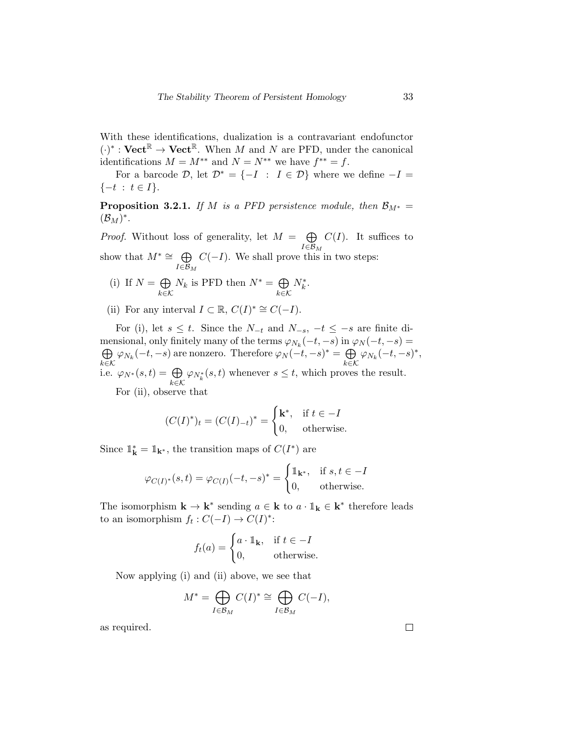With these identifications, dualization is a contravariant endofunctor  $(\cdot)^* : \mathbf{Vect}^{\mathbb{R}} \to \mathbf{Vect}^{\mathbb{R}}$ . When M and N are PFD, under the canonical identifications  $M = M^{**}$  and  $N = N^{**}$  we have  $f^{**} = f$ .

For a barcode  $\mathcal{D}$ , let  $\mathcal{D}^* = \{-I : I \in \mathcal{D}\}\$  where we define  $-I =$  $\{-t : t \in I\}.$ 

**Proposition 3.2.1.** If M is a PFD persistence module, then  $\mathcal{B}_{M^*} =$  $(\mathcal{B}_M)^*$ .

*Proof.* Without loss of generality, let  $M = \bigoplus$  $I \in \mathcal{B}_M$  $C(I)$ . It suffices to

show that  $M^* \cong \bigoplus$  $I ∈ \mathcal{B}_M$  $C(-I)$ . We shall prove this in two steps:

(i) If 
$$
N = \bigoplus_{k \in \mathcal{K}} N_k
$$
 is PFD then  $N^* = \bigoplus_{k \in \mathcal{K}} N_k^*$ .

(ii) For any interval  $I \subset \mathbb{R}$ ,  $C(I)^* \cong C(-I)$ .

For (i), let  $s \leq t$ . Since the  $N_{-t}$  and  $N_{-s}$ ,  $-t \leq -s$  are finite dimensional, only finitely many of the terms  $\varphi_{N_k}(-t, -s)$  in  $\varphi_N(-t, -s) =$  $\oplus$  $\bigoplus_{k \in \mathcal{K}} \varphi_{N_k}(-t, -s)$  are nonzero. Therefore  $\varphi_N(-t, -s)^* = \bigoplus_{k \in \mathcal{K}}$  $\bigoplus_{k \in \mathcal{K}} \varphi_{N_k}(-t, -s)^*,$ i.e.  $\varphi_{N^*}(s,t) = \bigoplus$ k∈K  $\varphi_{N_k^*}(s,t)$  whenever  $s \leq t$ , which proves the result. For (ii), observe that

$$
(C(I)^*)_t = (C(I)_{-t})^* = \begin{cases} \mathbf{k}^*, & \text{if } t \in -I \\ 0, & \text{otherwise.} \end{cases}
$$

Since  $\mathbb{1}_{\mathbf{k}}^* = \mathbb{1}_{\mathbf{k}^*}$ , the transition maps of  $C(I^*)$  are

$$
\varphi_{C(I)^*}(s,t) = \varphi_{C(I)}(-t,-s)^* = \begin{cases} \mathbb{1}_{\mathbf{k}^*}, & \text{if } s,t \in -I \\ 0, & \text{otherwise.} \end{cases}
$$

The isomorphism  $\mathbf{k} \to \mathbf{k}^*$  sending  $a \in \mathbf{k}$  to  $a \cdot \mathbb{1}_{\mathbf{k}} \in \mathbf{k}^*$  therefore leads to an isomorphism  $f_t: C(-I) \to C(I)^*$ :

$$
f_t(a) = \begin{cases} a \cdot \mathbb{1}_{\mathbf{k}}, & \text{if } t \in -I \\ 0, & \text{otherwise.} \end{cases}
$$

Now applying (i) and (ii) above, we see that

$$
M^* = \bigoplus_{I \in \mathcal{B}_M} C(I)^* \cong \bigoplus_{I \in \mathcal{B}_M} C(-I),
$$

as required.

 $\Box$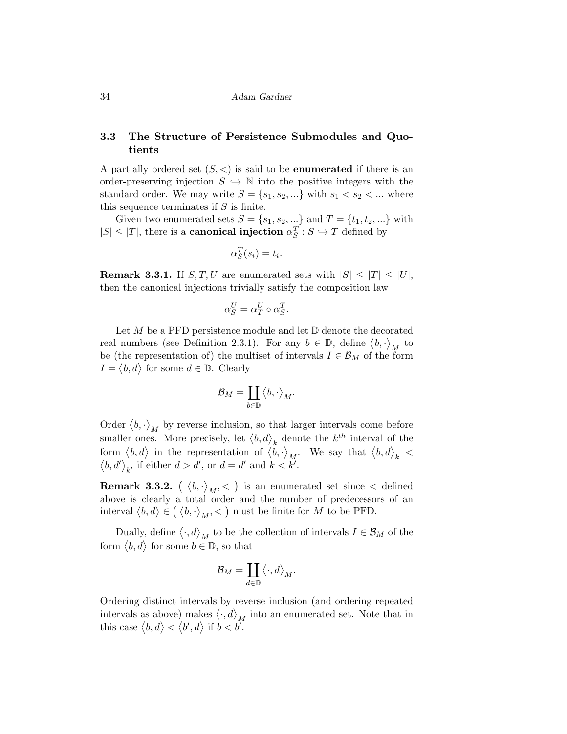### 3.3 The Structure of Persistence Submodules and Quotients

A partially ordered set  $(S, <)$  is said to be **enumerated** if there is an order-preserving injection  $S \hookrightarrow \mathbb{N}$  into the positive integers with the standard order. We may write  $S = \{s_1, s_2, ...\}$  with  $s_1 < s_2 < ...$  where this sequence terminates if  $S$  is finite.

Given two enumerated sets  $S = \{s_1, s_2, \ldots\}$  and  $T = \{t_1, t_2, \ldots\}$  with  $|S| \leq |T|$ , there is a **canonical injection**  $\alpha_S^T : S \hookrightarrow T$  defined by

$$
\alpha_S^T(s_i) = t_i.
$$

**Remark 3.3.1.** If  $S, T, U$  are enumerated sets with  $|S| \leq |T| \leq |U|$ , then the canonical injections trivially satisfy the composition law

$$
\alpha_S^U = \alpha_T^U \circ \alpha_S^T.
$$

Let  $M$  be a PFD persistence module and let  $\mathbb D$  denote the decorated real numbers (see Definition 2.3.1). For any  $b \in \mathbb{D}$ , define  $\langle b, \cdot \rangle_M$  to be (the representation of) the multiset of intervals  $I \in \mathcal{B}_M$  of the form  $I = \langle b, d \rangle$  for some  $d \in \mathbb{D}$ . Clearly

$$
\mathcal{B}_M=\coprod_{b\in\mathbb{D}}\big\langle b,\cdot\big\rangle_M.
$$

Order  $\langle b, \cdot \rangle_M$  by reverse inclusion, so that larger intervals come before smaller ones. More precisely, let  $\langle b, d \rangle_k$  denote the  $k^{th}$  interval of the form  $\langle b, d \rangle$  in the representation of  $\langle b, \cdot \rangle_M$ . We say that  $\langle b, d \rangle_k$  <  $\langle b, d' \rangle_{k'}$  if either  $d > d'$ , or  $d = d'$  and  $k < k'$ .

**Remark 3.3.2.**  $\left(\ \left\langle b, \cdot \right\rangle_M, < \right)$  is an enumerated set since  $<$  defined above is clearly a total order and the number of predecessors of an interval  $\langle b, d \rangle \in (\langle b, \cdot \rangle_M, \langle \cdot \rangle)$  must be finite for M to be PFD.

Dually, define  $\langle \cdot, d \rangle_M$  to be the collection of intervals  $I \in \mathcal{B}_M$  of the form  $\langle b, d \rangle$  for some  $b \in \mathbb{D}$ , so that

$$
\mathcal{B}_M = \coprod_{d \in \mathbb{D}} \langle \cdot, d \rangle_M.
$$

Ordering distinct intervals by reverse inclusion (and ordering repeated intervals as above) makes  $\langle \cdot, d \rangle_M$  into an enumerated set. Note that in this case  $\langle b, d \rangle < \langle b', d \rangle$  if  $b < b'$ .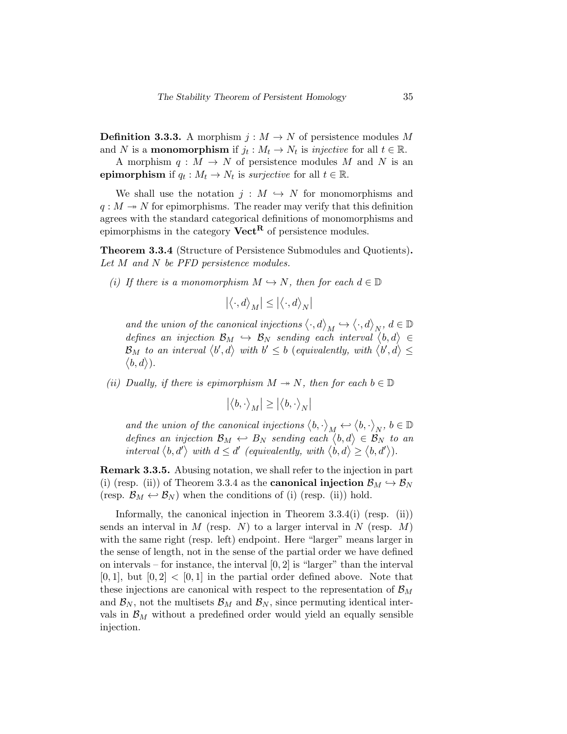**Definition 3.3.3.** A morphism  $j : M \to N$  of persistence modules M and N is a **monomorphism** if  $j_t : M_t \to N_t$  is *injective* for all  $t \in \mathbb{R}$ .

A morphism  $q : M \to N$  of persistence modules M and N is an epimorphism if  $q_t : M_t \to N_t$  is *surjective* for all  $t \in \mathbb{R}$ .

We shall use the notation  $j : M \hookrightarrow N$  for monomorphisms and  $q: M \to N$  for epimorphisms. The reader may verify that this definition agrees with the standard categorical definitions of monomorphisms and epimorphisms in the category  $Vect^R$  of persistence modules.

Theorem 3.3.4 (Structure of Persistence Submodules and Quotients). Let M and N be PFD persistence modules.

(i) If there is a monomorphism  $M \hookrightarrow N$ , then for each  $d \in \mathbb{D}$ 

$$
\left| \left\langle \cdot,d\right\rangle _{M}\right| \leq\left| \left\langle \cdot,d\right\rangle _{N}\right|
$$

and the union of the canonical injections  $\langle \cdot, d \rangle_M \hookrightarrow \langle \cdot, d \rangle_N$ ,  $d \in \mathbb{D}$ defines an injection  $\mathcal{B}_M$   $\hookrightarrow$   $\mathcal{B}_N$  sending each interval  $\langle b, d \rangle \in$  $\mathcal{B}_M$  to an interval  $\langle b', d \rangle$  with  $b' \leq b$  (equivalently, with  $\langle b', d \rangle \leq$  $\langle b, d \rangle$ ).

(ii) Dually, if there is epimorphism  $M \to N$ , then for each  $b \in \mathbb{D}$ 

$$
|\langle b,\cdot\rangle_M|\geq |\langle b,\cdot\rangle_N|
$$

and the union of the canonical injections  $\langle b, \cdot \rangle_M \hookleftarrow \langle b, \cdot \rangle_N$ ,  $b \in \mathbb{D}$ defines an injection  $\mathcal{B}_M \leftrightarrow B_N$  sending each  $\langle b, d \rangle \in \mathcal{B}_N$  to an interval  $\langle b, d' \rangle$  with  $d \leq d'$  (equivalently, with  $\langle \dot{b}, d \rangle \geq \langle b, d' \rangle$ ).

Remark 3.3.5. Abusing notation, we shall refer to the injection in part (i) (resp. (ii)) of Theorem 3.3.4 as the **canonical injection**  $\mathcal{B}_M \hookrightarrow \mathcal{B}_N$ (resp.  $\mathcal{B}_M \leftrightarrow \mathcal{B}_N$ ) when the conditions of (i) (resp. (ii)) hold.

Informally, the canonical injection in Theorem 3.3.4(i) (resp. (ii)) sends an interval in  $M$  (resp.  $N$ ) to a larger interval in  $N$  (resp.  $M$ ) with the same right (resp. left) endpoint. Here "larger" means larger in the sense of length, not in the sense of the partial order we have defined on intervals – for instance, the interval  $[0, 2]$  is "larger" than the interval  $[0, 1]$ , but  $[0, 2] < [0, 1]$  in the partial order defined above. Note that these injections are canonical with respect to the representation of  $\mathcal{B}_M$ and  $\mathcal{B}_N$ , not the multisets  $\mathcal{B}_M$  and  $\mathcal{B}_N$ , since permuting identical intervals in  $\mathcal{B}_M$  without a predefined order would yield an equally sensible injection.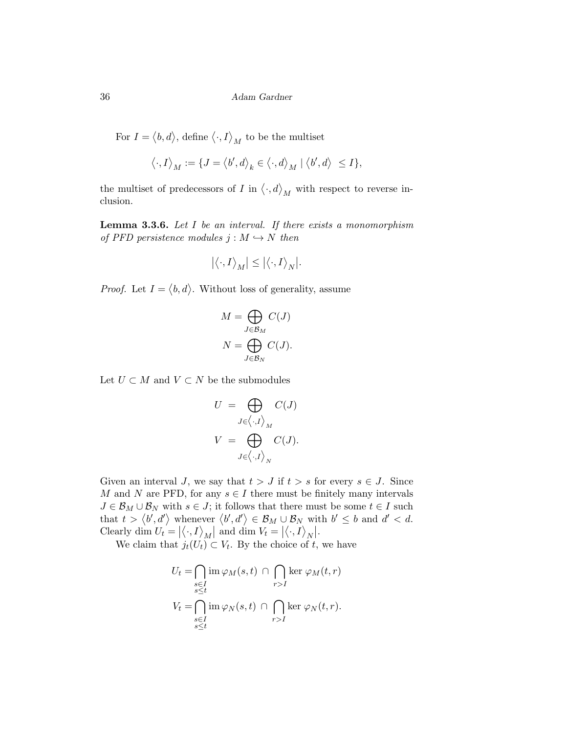For  $I = \langle b, d \rangle$ , define  $\langle \cdot, I \rangle_M$  to be the multiset

$$
\left< \cdot , I \right>_{M} := \{ J = \left< b^{\prime}, d \right>_{k} \in \left< \cdot , d \right>_{M} \mid \left< b^{\prime}, d \right> \ \leq I \},
$$

the multiset of predecessors of  $I$  in  $\langle \cdot, d \rangle_M$  with respect to reverse inclusion.

**Lemma 3.3.6.** Let  $I$  be an interval. If there exists a monomorphism of PFD persistence modules  $j : M \hookrightarrow N$  then

$$
\big|\big\langle \cdot, I \big\rangle_M\big| \leq \big|\big\langle \cdot, I \big\rangle_N\big|.
$$

*Proof.* Let  $I = \langle b, d \rangle$ . Without loss of generality, assume

$$
M = \bigoplus_{J \in \mathcal{B}_M} C(J)
$$

$$
N = \bigoplus_{J \in \mathcal{B}_N} C(J).
$$

Let  $U \subset M$  and  $V \subset N$  be the submodules

$$
U = \bigoplus_{J \in \langle \cdot, I \rangle_M} C(J)
$$
  

$$
V = \bigoplus_{J \in \langle \cdot, I \rangle_N} C(J).
$$

Given an interval J, we say that  $t > J$  if  $t > s$  for every  $s \in J$ . Since M and N are PFD, for any  $s \in I$  there must be finitely many intervals  $J \in \mathcal{B}_M \cup \mathcal{B}_N$  with  $s \in J$ ; it follows that there must be some  $t \in I$  such that  $t > \langle b', d' \rangle$  whenever  $\langle b', d' \rangle \in \mathcal{B}_M \cup \mathcal{B}_N$  with  $b' \leq b$  and  $d' < d$ . Clearly dim  $U_t = |\langle \cdot, I \rangle_M|$  and dim  $V_t = |\langle \cdot, I \rangle_N|$ .

We claim that  $j_t(U_t) \subset V_t$ . By the choice of t, we have

$$
U_t = \bigcap_{\substack{s \in I \\ s \le t}} \operatorname{im} \varphi_M(s, t) \cap \bigcap_{r > I} \ker \varphi_M(t, r)
$$
  

$$
V_t = \bigcap_{\substack{s \in I \\ s \le t}} \operatorname{im} \varphi_N(s, t) \cap \bigcap_{r > I} \ker \varphi_N(t, r).
$$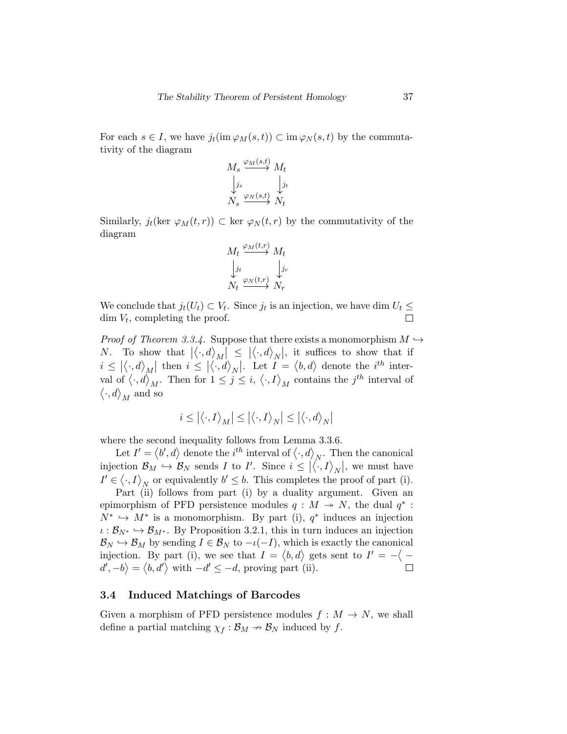For each  $s \in I$ , we have  $j_t(\text{im}\,\varphi_M(s,t)) \subset \text{im}\,\varphi_N(s,t)$  by the commutativity of the diagram

$$
M_s \xrightarrow{\varphi_M(s,t)} M_t
$$
  

$$
\downarrow_{j_s} \qquad \qquad \downarrow_{j_t} \downarrow_{j_t}
$$
  

$$
N_s \xrightarrow{\varphi_N(s,t)} N_t
$$

Similarly,  $j_t(\text{ker } \varphi_M(t, r)) \subset \text{ker } \varphi_N(t, r)$  by the commutativity of the diagram

$$
M_t \xrightarrow{\varphi_M(t,r)} M_t
$$
  

$$
\downarrow_{j_t} \qquad \qquad \downarrow_{j_r}
$$
  

$$
N_t \xrightarrow{\varphi_N(t,r)} N_r
$$

We conclude that  $j_t(U_t) \subset V_t$ . Since  $j_t$  is an injection, we have dim  $U_t \leq$  $\dim V_t$ , completing the proof.  $\Box$ 

*Proof of Theorem 3.3.4.* Suppose that there exists a monomorphism  $M \hookrightarrow$ N. To show that  $|\langle \cdot, d \rangle_M| \leq |\langle \cdot, d \rangle_N|$ , it suffices to show that if  $i \leq |\langle \cdot, d \rangle_{M}|$  then  $i \leq |\langle \cdot, d \rangle_{N}|$ . Let  $I = \langle b, d \rangle$  denote the  $i^{th}$  interval of  $\langle \cdot, d \rangle_M$ . Then for  $1 \leq j \leq i, \langle \cdot, I \rangle_M$  contains the j<sup>th</sup> interval of  $\langle \cdot, d \rangle_M$  and so

$$
i \leq \left| \langle \cdot, I \rangle_M \right| \leq \left| \langle \cdot, I \rangle_N \right| \leq \left| \langle \cdot, d \rangle_N \right|
$$

where the second inequality follows from Lemma 3.3.6.

Let  $I' = \langle b', d \rangle$  denote the  $i^{th}$  interval of  $\langle \cdot, d \rangle_N$ . Then the canonical injection  $\mathcal{B}_M \hookrightarrow \mathcal{B}_N$  sends *I* to *I'*. Since  $i \leq |\langle \cdot, I \rangle_N|$ , we must have  $I' \in \langle \cdot, I \rangle_N$  or equivalently  $b' \leq b$ . This completes the proof of part (i).

Part (ii) follows from part (i) by a duality argument. Given an epimorphism of PFD persistence modules  $q : M \rightarrow N$ , the dual  $q^*$ :  $N^* \hookrightarrow M^*$  is a monomorphism. By part (i),  $q^*$  induces an injection  $\iota : \mathcal{B}_{N^*} \hookrightarrow \mathcal{B}_{M^*}$ . By Proposition 3.2.1, this in turn induces an injection  $\mathcal{B}_N \hookrightarrow \mathcal{B}_M$  by sending  $I \in \mathcal{B}_N$  to  $-\iota(-I)$ , which is exactly the canonical injection. By part (i), we see that  $I = \langle b, d \rangle$  gets sent to  $I' = -\langle$  $d', -b \rangle = \langle b, d' \rangle$  with  $-d' \leq -d$ , proving part (ii).  $\Box$ 

#### 3.4 Induced Matchings of Barcodes

Given a morphism of PFD persistence modules  $f : M \to N$ , we shall define a partial matching  $\chi_f : \mathcal{B}_M \to \mathcal{B}_N$  induced by f.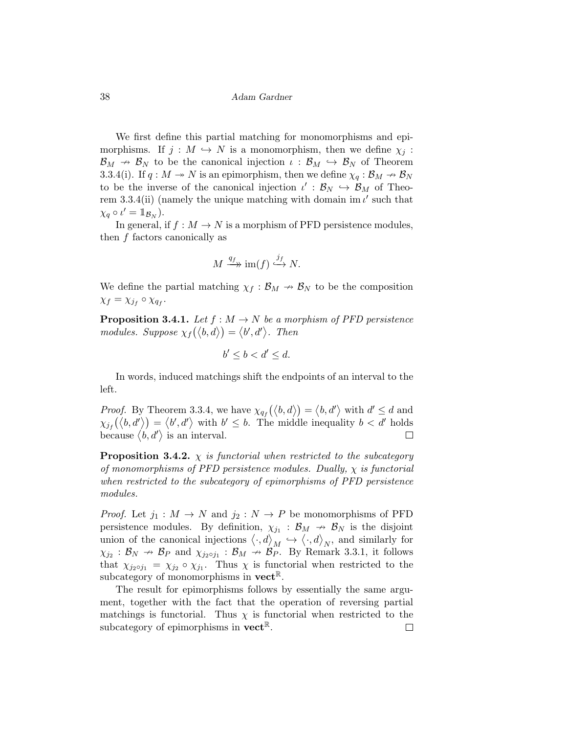We first define this partial matching for monomorphisms and epimorphisms. If  $j : M \hookrightarrow N$  is a monomorphism, then we define  $\chi_j$ :  $\mathcal{B}_M \to \mathcal{B}_N$  to be the canonical injection  $\iota : \mathcal{B}_M \to \mathcal{B}_N$  of Theorem 3.3.4(i). If  $q : M \to N$  is an epimorphism, then we define  $\chi_q : \mathcal{B}_M \to \mathcal{B}_N$ to be the inverse of the canonical injection  $\iota': \mathcal{B}_N \hookrightarrow \mathcal{B}_M$  of Theorem 3.3.4(ii) (namely the unique matching with domain im  $\iota'$  such that  $\chi_q \circ \iota' = \mathbb{1}_{\mathcal{B}_N}$ ).

In general, if  $f : M \to N$  is a morphism of PFD persistence modules, then f factors canonically as

$$
M \xrightarrow{q_f} \text{im}(f) \xrightarrow{j_f} N.
$$

We define the partial matching  $\chi_f : \mathcal{B}_M \to \mathcal{B}_N$  to be the composition  $\chi_f = \chi_{j_f} \circ \chi_{q_f}.$ 

**Proposition 3.4.1.** Let  $f : M \to N$  be a morphism of PFD persistence modules. Suppose  $\chi_f(\langle b, d \rangle) = \langle b', d' \rangle$ . Then

$$
b' \le b < d' \le d.
$$

In words, induced matchings shift the endpoints of an interval to the left.

*Proof.* By Theorem 3.3.4, we have  $\chi_{q_f}(\langle b, d \rangle) = \langle b, d' \rangle$  with  $d' \leq d$  and  $\chi_{j_f}(\langle b, d' \rangle) = \langle b', d' \rangle$  with  $b' \leq b$ . The middle inequality  $b < d'$  holds because  $\langle b, d' \rangle$  is an interval.  $\Box$ 

**Proposition 3.4.2.**  $\chi$  is functorial when restricted to the subcategory of monomorphisms of PFD persistence modules. Dually,  $\chi$  is functorial when restricted to the subcategory of epimorphisms of PFD persistence modules.

*Proof.* Let  $j_1 : M \to N$  and  $j_2 : N \to P$  be monomorphisms of PFD persistence modules. By definition,  $\chi_{j_1} : \mathcal{B}_M \to \mathcal{B}_N$  is the disjoint union of the canonical injections  $\langle \cdot, d \rangle_M \hookrightarrow \langle \cdot, d \rangle_N$ , and similarly for  $\chi_{j_2} : \mathcal{B}_N \to \mathcal{B}_P$  and  $\chi_{j_2 \circ j_1} : \mathcal{B}_M \to \mathcal{B}_P^M$ . By Remark 3.3.1, it follows that  $\chi_{j_2 \circ j_1} = \chi_{j_2} \circ \chi_{j_1}$ . Thus  $\chi$  is functorial when restricted to the subcategory of monomorphisms in  $\mathbf{vect}^{\mathbb{R}}$ .

The result for epimorphisms follows by essentially the same argument, together with the fact that the operation of reversing partial matchings is functorial. Thus  $\chi$  is functorial when restricted to the subcategory of epimorphisms in  $\mathbf{vect}^{\mathbb{R}}$ .  $\Box$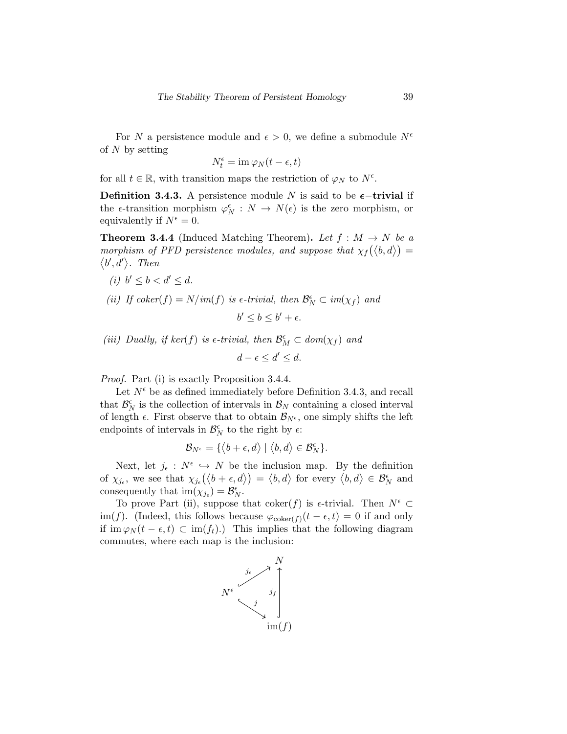For N a persistence module and  $\epsilon > 0$ , we define a submodule  $N^{\epsilon}$ of  $N$  by setting

$$
N_t^{\epsilon} = \operatorname{im} \varphi_N(t - \epsilon, t)
$$

for all  $t \in \mathbb{R}$ , with transition maps the restriction of  $\varphi_N$  to  $N^{\epsilon}$ .

Definition 3.4.3. A persistence module N is said to be  $\epsilon$ -trivial if the  $\epsilon$ -transition morphism  $\varphi_N^{\epsilon}: N \to N(\epsilon)$  is the zero morphism, or equivalently if  $N^{\epsilon} = 0$ .

**Theorem 3.4.4** (Induced Matching Theorem). Let  $f : M \to N$  be a morphism of PFD persistence modules, and suppose that  $\chi_f(\langle b, d \rangle) =$  $\langle b', d' \rangle$ . Then

- (i)  $b' \leq b < d' \leq d$ .
- (ii) If  $coker(f) = N/im(f)$  is  $\epsilon$ -trivial, then  $\mathcal{B}_N^{\epsilon} \subset im(\chi_f)$  and

$$
b' \le b \le b' + \epsilon.
$$

(iii) Dually, if  $ker(f)$  is  $\epsilon$ -trivial, then  $\mathcal{B}_M^{\epsilon} \subset dom(\chi_f)$  and

$$
d - \epsilon \le d' \le d.
$$

Proof. Part (i) is exactly Proposition 3.4.4.

Let  $N^{\epsilon}$  be as defined immediately before Definition 3.4.3, and recall that  $\mathcal{B}_N^{\epsilon}$  is the collection of intervals in  $\mathcal{B}_N$  containing a closed interval of length  $\epsilon$ . First observe that to obtain  $\mathcal{B}_{N^{\epsilon}}$ , one simply shifts the left endpoints of intervals in  $\mathcal{B}_N^{\epsilon}$  to the right by  $\epsilon$ :

$$
\mathcal{B}_{N^{\epsilon}} = \{ \langle b + \epsilon, d \rangle \mid \langle b, d \rangle \in \mathcal{B}_N^{\epsilon} \}.
$$

Next, let  $j_{\epsilon}: N^{\epsilon} \hookrightarrow N$  be the inclusion map. By the definition of  $\chi_{j_{\epsilon}}$ , we see that  $\chi_{j_{\epsilon}}(\langle b+\epsilon, d \rangle) = \langle b, d \rangle$  for every  $\langle b, d \rangle \in \mathcal{B}_{N}^{\epsilon}$  and consequently that  $\text{im}(\chi_{j_{\epsilon}}) = \mathcal{B}_{N}^{\epsilon}$ .

To prove Part (ii), suppose that coker(f) is  $\epsilon$ -trivial. Then  $N^{\epsilon} \subset$ im(f). (Indeed, this follows because  $\varphi_{\text{coker}(f)}(t-\epsilon, t) = 0$  if and only if im  $\varphi_N(t - \epsilon, t) \subset \text{im}(f_t)$ .) This implies that the following diagram commutes, where each map is the inclusion:

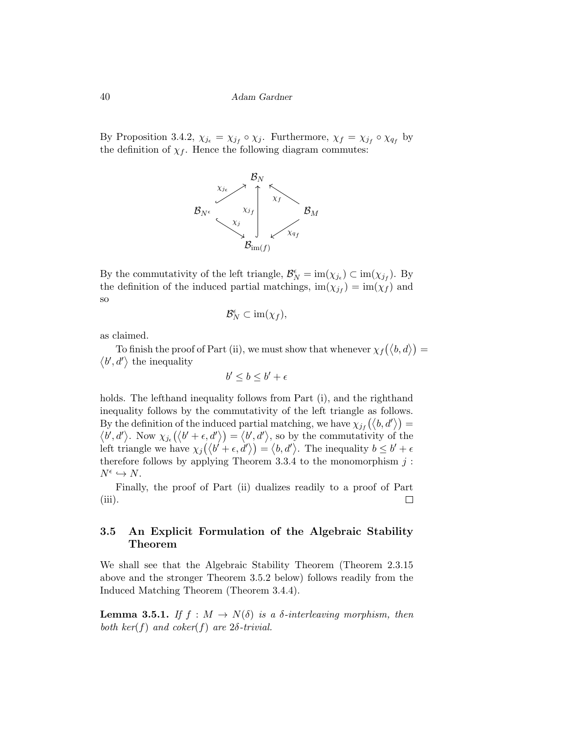By Proposition 3.4.2,  $\chi_{j_{\epsilon}} = \chi_{j_{f}} \circ \chi_{j}$ . Furthermore,  $\chi_{f} = \chi_{j_{f}} \circ \chi_{q_{f}}$  by the definition of  $\chi_f$ . Hence the following diagram commutes:



By the commutativity of the left triangle,  $\mathcal{B}_N^{\epsilon} = \text{im}(\chi_{j_{\epsilon}}) \subset \text{im}(\chi_{j_f})$ . By the definition of the induced partial matchings,  $\text{im}(\chi_{j_f}) = \text{im}(\chi_f)$  and so

$$
\mathcal{B}_N^{\epsilon} \subset \operatorname{im}(\chi_f),
$$

as claimed.

To finish the proof of Part (ii), we must show that whenever  $\chi_f(\langle b, d \rangle) =$  $\langle b', d' \rangle$  the inequality

$$
b' \le b \le b' + \epsilon
$$

holds. The lefthand inequality follows from Part (i), and the righthand inequality follows by the commutativity of the left triangle as follows. By the definition of the induced partial matching, we have  $\chi_{j_f}(\langle b, d' \rangle) =$  $\langle b', d' \rangle$ . Now  $\chi_{j_{\epsilon}}(\langle b' + \epsilon, d' \rangle) = \langle b', d' \rangle$ , so by the commutativity of the left triangle we have  $\chi_j(\langle b' + \epsilon, d' \rangle) = \langle b, d' \rangle$ . The inequality  $b \leq b' + \epsilon$ therefore follows by applying Theorem 3.3.4 to the monomorphism  $j$ :  $N^{\epsilon} \hookrightarrow N$ .

Finally, the proof of Part (ii) dualizes readily to a proof of Part (iii).  $\Box$ 

### 3.5 An Explicit Formulation of the Algebraic Stability Theorem

We shall see that the Algebraic Stability Theorem (Theorem 2.3.15 above and the stronger Theorem 3.5.2 below) follows readily from the Induced Matching Theorem (Theorem 3.4.4).

**Lemma 3.5.1.** If  $f : M \to N(\delta)$  is a  $\delta$ -interleaving morphism, then both ker(f) and coker(f) are  $2\delta$ -trivial.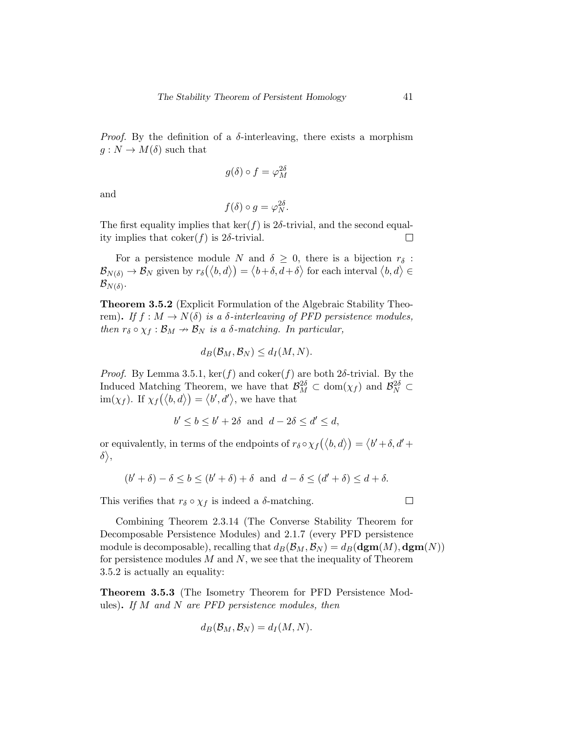*Proof.* By the definition of a  $\delta$ -interleaving, there exists a morphism  $g: N \to M(\delta)$  such that

$$
g(\delta) \circ f = \varphi_M^{2\delta}
$$

and

$$
f(\delta) \circ g = \varphi_N^{2\delta}.
$$

The first equality implies that  $\ker(f)$  is 2 $\delta$ -trivial, and the second equality implies that  $\text{coker}(f)$  is 2 $\delta$ -trivial.  $\Box$ 

For a persistence module N and  $\delta \geq 0$ , there is a bijection  $r_{\delta}$ :  $\mathcal{B}_{N(\delta)} \to \mathcal{B}_N$  given by  $r_\delta(\langle b, d \rangle) = \langle b + \delta, d + \delta \rangle$  for each interval  $\langle b, d \rangle \in$  $\mathcal{B}_{N(\delta)}.$ 

Theorem 3.5.2 (Explicit Formulation of the Algebraic Stability Theorem). If  $f : M \to N(\delta)$  is a  $\delta$ -interleaving of PFD persistence modules, then  $r_{\delta} \circ \chi_f : \mathcal{B}_M \to \mathcal{B}_N$  is a  $\delta$ -matching. In particular,

$$
d_B(\mathcal{B}_M, \mathcal{B}_N) \le d_I(M, N).
$$

*Proof.* By Lemma 3.5.1,  $\ker(f)$  and  $\operatorname{coker}(f)$  are both 2 $\delta$ -trivial. By the Induced Matching Theorem, we have that  $\mathcal{B}_M^{2\delta} \subset \text{dom}(\chi_f)$  and  $\mathcal{B}_N^{2\delta} \subset$  $\text{im}(\chi_f)$ . If  $\chi_f(\langle b, d \rangle) = \langle b', d' \rangle$ , we have that

$$
b' \le b \le b' + 2\delta \text{ and } d - 2\delta \le d' \le d,
$$

or equivalently, in terms of the endpoints of  $r_{\delta} \circ \chi_f(\langle b, d \rangle) = \langle b' + \delta, d' +$  $\delta \rangle,$ 

$$
(b' + \delta) - \delta \le b \le (b' + \delta) + \delta
$$
 and  $d - \delta \le (d' + \delta) \le d + \delta$ .

This verifies that  $r_{\delta} \circ \chi_f$  is indeed a  $\delta$ -matching.

 $\Box$ 

Combining Theorem 2.3.14 (The Converse Stability Theorem for Decomposable Persistence Modules) and 2.1.7 (every PFD persistence module is decomposable), recalling that  $d_B(\mathcal{B}_M, \mathcal{B}_N) = d_B(\mathbf{dgm}(M), \mathbf{dgm}(N))$ for persistence modules  $M$  and  $N$ , we see that the inequality of Theorem 3.5.2 is actually an equality:

Theorem 3.5.3 (The Isometry Theorem for PFD Persistence Modules). If M and N are PFD persistence modules, then

$$
d_B(\mathcal{B}_M, \mathcal{B}_N) = d_I(M, N).
$$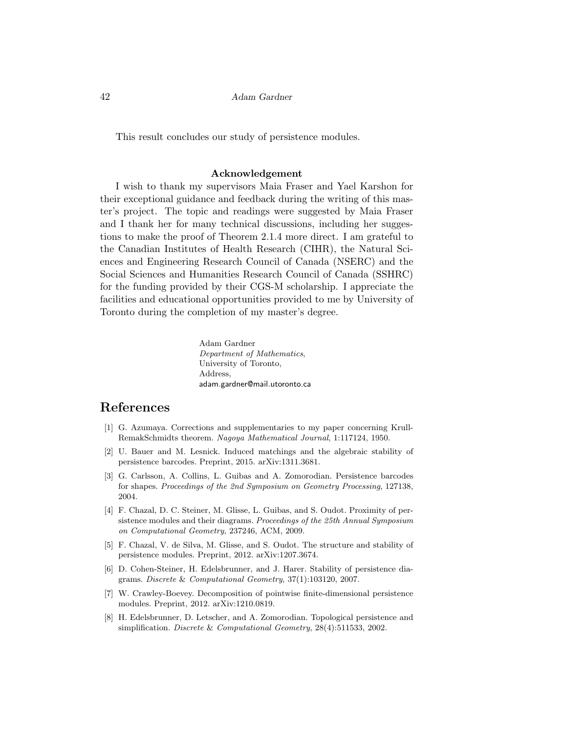This result concludes our study of persistence modules.

#### Acknowledgement

I wish to thank my supervisors Maia Fraser and Yael Karshon for their exceptional guidance and feedback during the writing of this master's project. The topic and readings were suggested by Maia Fraser and I thank her for many technical discussions, including her suggestions to make the proof of Theorem 2.1.4 more direct. I am grateful to the Canadian Institutes of Health Research (CIHR), the Natural Sciences and Engineering Research Council of Canada (NSERC) and the Social Sciences and Humanities Research Council of Canada (SSHRC) for the funding provided by their CGS-M scholarship. I appreciate the facilities and educational opportunities provided to me by University of Toronto during the completion of my master's degree.

> Adam Gardner Department of Mathematics, University of Toronto, Address, adam.gardner@mail.utoronto.ca

## References

- [1] G. Azumaya. Corrections and supplementaries to my paper concerning Krull-RemakSchmidts theorem. Nagoya Mathematical Journal, 1:117124, 1950.
- [2] U. Bauer and M. Lesnick. Induced matchings and the algebraic stability of persistence barcodes. Preprint, 2015. arXiv:1311.3681.
- [3] G. Carlsson, A. Collins, L. Guibas and A. Zomorodian. Persistence barcodes for shapes. Proceedings of the 2nd Symposium on Geometry Processing, 127138, 2004.
- [4] F. Chazal, D. C. Steiner, M. Glisse, L. Guibas, and S. Oudot. Proximity of persistence modules and their diagrams. Proceedings of the 25th Annual Symposium on Computational Geometry, 237246, ACM, 2009.
- [5] F. Chazal, V. de Silva, M. Glisse, and S. Oudot. The structure and stability of persistence modules. Preprint, 2012. arXiv:1207.3674.
- [6] D. Cohen-Steiner, H. Edelsbrunner, and J. Harer. Stability of persistence diagrams. Discrete & Computational Geometry, 37(1):103120, 2007.
- [7] W. Crawley-Boevey. Decomposition of pointwise finite-dimensional persistence modules. Preprint, 2012. arXiv:1210.0819.
- [8] H. Edelsbrunner, D. Letscher, and A. Zomorodian. Topological persistence and simplification. Discrete & Computational Geometry, 28(4):511533, 2002.